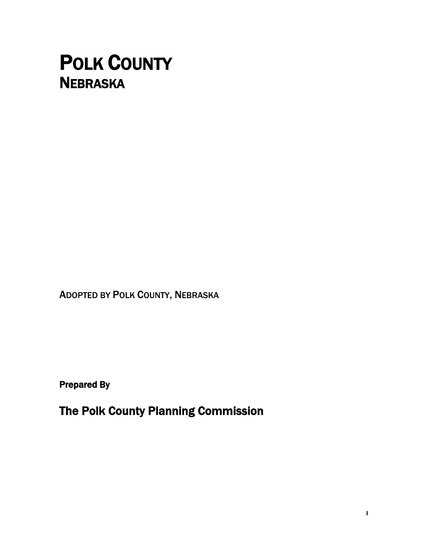# POLK COUNTY **NEBRASKA**

ADOPTED BY POLK COUNTY, NEBRASKA

Prepared By

The Polk County Planning Commission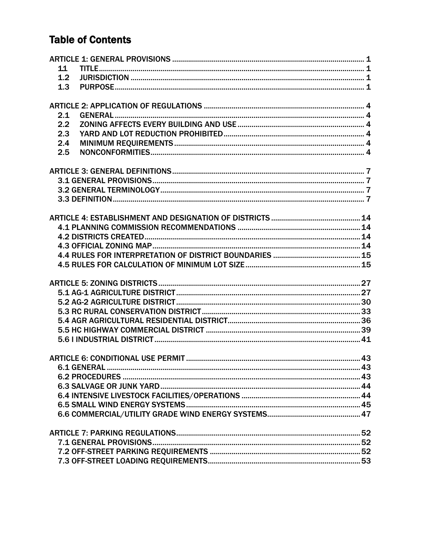# **Table of Contents**

| 11  |  |
|-----|--|
| 1.2 |  |
| 1.3 |  |
|     |  |
| 2.1 |  |
| 2.2 |  |
| 2.3 |  |
|     |  |
| 2.4 |  |
| 2.5 |  |
|     |  |
|     |  |
|     |  |
|     |  |
|     |  |
|     |  |
|     |  |
|     |  |
|     |  |
|     |  |
|     |  |
|     |  |
|     |  |
|     |  |
|     |  |
|     |  |
|     |  |
|     |  |
|     |  |
|     |  |
|     |  |
|     |  |
|     |  |
|     |  |
|     |  |
|     |  |
|     |  |
|     |  |
|     |  |
|     |  |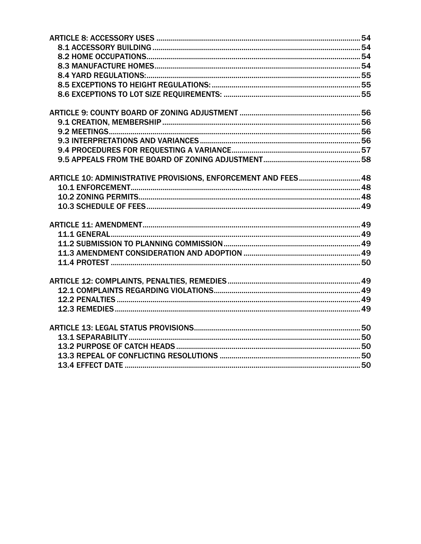| ARTICLE 10: ADMINISTRATIVE PROVISIONS, ENFORCEMENT AND FEES 48 |  |
|----------------------------------------------------------------|--|
|                                                                |  |
|                                                                |  |
|                                                                |  |
|                                                                |  |
|                                                                |  |
|                                                                |  |
|                                                                |  |
|                                                                |  |
|                                                                |  |
|                                                                |  |
|                                                                |  |
|                                                                |  |
|                                                                |  |
|                                                                |  |
|                                                                |  |
|                                                                |  |
|                                                                |  |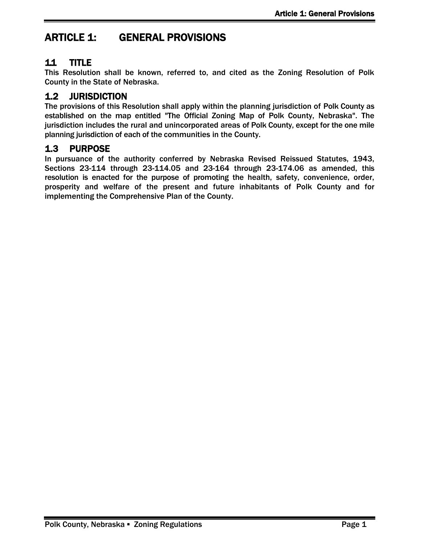# <span id="page-4-0"></span>ARTICLE 1: GENERAL PROVISIONS

# <span id="page-4-1"></span>1.1 TITLE

This Resolution shall be known, referred to, and cited as the Zoning Resolution of Polk County in the State of Nebraska.

# <span id="page-4-2"></span>1.2 JURISDICTION

The provisions of this Resolution shall apply within the planning jurisdiction of Polk County as established on the map entitled "The Official Zoning Map of Polk County, Nebraska". The jurisdiction includes the rural and unincorporated areas of Polk County, except for the one mile planning jurisdiction of each of the communities in the County.

### <span id="page-4-3"></span>1.3 PURPOSE

In pursuance of the authority conferred by Nebraska Revised Reissued Statutes, 1943, Sections 23-114 through 23-114.05 and 23-164 through 23-174.06 as amended, this resolution is enacted for the purpose of promoting the health, safety, convenience, order, prosperity and welfare of the present and future inhabitants of Polk County and for implementing the Comprehensive Plan of the County.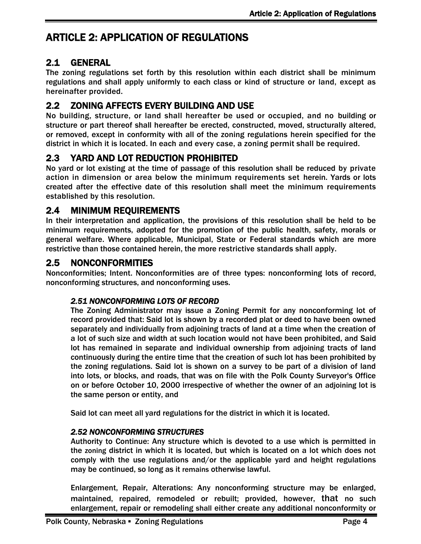# <span id="page-5-0"></span>ARTICLE 2: APPLICATION OF REGULATIONS

# <span id="page-5-1"></span>2.1 GENERAL

The zoning regulations set forth by this resolution within each district shall be minimum regulations and shall apply uniformly to each class or kind of structure or land, except as hereinafter provided.

# <span id="page-5-2"></span>2.2 ZONING AFFECTS EVERY BUILDING AND USE

No building, structure, or land shall hereafter be used or occupied, and no building or structure or part thereof shall hereafter be erected, constructed, moved, structurally altered, or removed, except in conformity with all of the zoning regulations herein specified for the district in which it is located. In each and every case, a zoning permit shall be required.

# <span id="page-5-3"></span>2.3 YARD AND LOT REDUCTION PROHIBITED

No yard or lot existing at the time of passage of this resolution shall be reduced by private action in dimension or area below the minimum requirements set herein. Yards or lots created after the effective date of this resolution shall meet the minimum requirements established by this resolution.

### <span id="page-5-4"></span>2.4 MINIMUM REQUIREMENTS

In their interpretation and application, the provisions of this resolution shall be held to be minimum requirements, adopted for the promotion of the public health, safety, morals or general welfare. Where applicable, Municipal, State or Federal standards which are more restrictive than those contained herein, the more restrictive standards shall apply.

### <span id="page-5-5"></span>2.5 NONCONFORMITIES

Nonconformities; Intent. Nonconformities are of three types: nonconforming lots of record, nonconforming structures, and nonconforming uses.

#### *2.51 NONCONFORMING LOTS OF RECORD*

The Zoning Administrator may issue a Zoning Permit for any nonconforming lot of record provided that: Said lot is shown by a recorded plat or deed to have been owned separately and individually from adjoining tracts of land at a time when the creation of a lot of such size and width at such location would not have been prohibited, and Said lot has remained in separate and individual ownership from adjoining tracts of land continuously during the entire time that the creation of such lot has been prohibited by the zoning regulations. Said lot is shown on a survey to be part of a division of land into lots, or blocks, and roads, that was on file with the Polk County Surveyor's Office on or before October 10, 2000 irrespective of whether the owner of an adjoining lot is the same person or entity, and

Said lot can meet all yard regulations for the district in which it is located.

#### *2.52 NONCONFORMING STRUCTURES*

Authority to Continue: Any structure which is devoted to a use which is permitted in the zoning district in which it is located, but which is located on a lot which does not comply with the use regulations and/or the applicable yard and height regulations may be continued, so long as it remains otherwise lawful.

Enlargement, Repair, Alterations: Any nonconforming structure may be enlarged, maintained, repaired, remodeled or rebuilt; provided, however, that no such enlargement, repair or remodeling shall either create any additional nonconformity or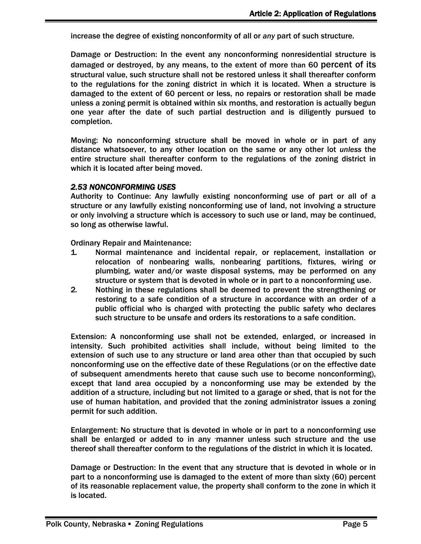increase the degree of existing nonconformity of all or *any* part of such structure.

Damage or Destruction: In the event any nonconforming nonresidential structure is damaged or destroyed, by any means, to the extent of more than 60 percent of its structural value, such structure shall not be restored unless it shall thereafter conform to the regulations for the zoning district in which it is located. When a structure is damaged to the extent of 60 percent or less, no repairs or restoration shall be made unless a zoning permit is obtained within six months, and restoration is actually begun one year after the date of such partial destruction and is diligently pursued to completion.

Moving: No nonconforming structure shall be moved in whole or in part of any distance whatsoever, to any other location on the same or any other lot *unless* the entire structure shall thereafter conform to the regulations of the zoning district in which it is located after being moved.

#### *2.53 NONCONFORMING USES*

Authority to Continue: Any lawfully existing nonconforming use of part or all of a structure or any lawfully existing nonconforming use of land, not involving a structure or only involving a structure which is accessory to such use or land, may be continued, so long as otherwise lawful.

Ordinary Repair and Maintenance:

- 1. Normal maintenance and incidental repair, or replacement, installation or relocation of nonbearing walls, nonbearing partitions, fixtures, wiring or plumbing, water and/or waste disposal systems, may be performed on any structure or system that is devoted in whole or in part to a nonconforming use.
- 2. Nothing in these regulations shall be deemed to prevent the strengthening or restoring to a safe condition of a structure in accordance with an order of a public official who is charged with protecting the public safety who declares such structure to be unsafe and orders its restorations to a safe condition.

Extension: A nonconforming use shall not be extended, enlarged, or increased in intensity. Such prohibited activities shall include, without being limited to the extension of such use to any structure or land area other than that occupied by such nonconforming use on the effective date of these Regulations (or on the effective date of subsequent amendments hereto that cause such use to become nonconforming), except that land area occupied by a nonconforming use may be extended by the addition of a structure, including but not limited to a garage or shed, that is not for the use of human habitation, and provided that the zoning administrator issues a zoning permit for such addition.

Enlargement: No structure that is devoted in whole or in part to a nonconforming use shall be enlarged or added to in any -manner unless such structure and the use thereof shall thereafter conform to the regulations of the district in which it is located.

Damage or Destruction: In the event that any structure that is devoted in whole or in part to a nonconforming use is damaged to the extent of more than sixty (60) percent of its reasonable replacement value, the property shall conform to the zone in which it is located.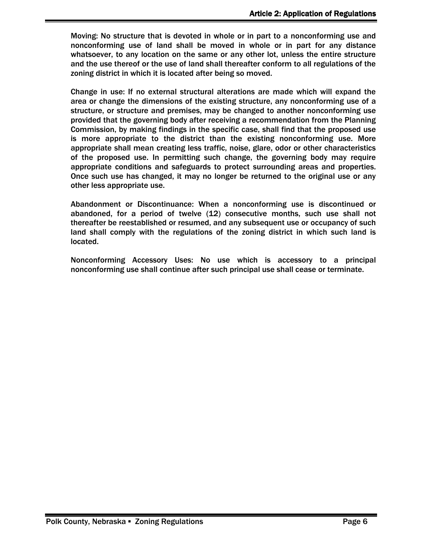Moving: No structure that is devoted in whole or in part to a nonconforming use and nonconforming use of land shall be moved in whole or in part for any distance whatsoever, to any location on the same or any other lot, unless the entire structure and the use thereof or the use of land shall thereafter conform to all regulations of the zoning district in which it is located after being so moved.

Change in use: If no external structural alterations are made which will expand the area or change the dimensions of the existing structure, any nonconforming use of a structure, or structure and premises, may be changed to another nonconforming use provided that the governing body after receiving a recommendation from the Planning Commission, by making findings in the specific case, shall find that the proposed use is more appropriate to the district than the existing nonconforming use. More appropriate shall mean creating less traffic, noise, glare, odor or other characteristics of the proposed use. In permitting such change, the governing body may require appropriate conditions and safeguards to protect surrounding areas and properties. Once such use has changed, it may no longer be returned to the original use or any other less appropriate use.

Abandonment or Discontinuance: When a nonconforming use is discontinued or abandoned, for a period of twelve (12) consecutive months, such use shall not thereafter be reestablished or resumed, and any subsequent use or occupancy of such land shall comply with the regulations of the zoning district in which such land is located.

Nonconforming Accessory Uses: No use which is accessory to a principal nonconforming use shall continue after such principal use shall cease or terminate.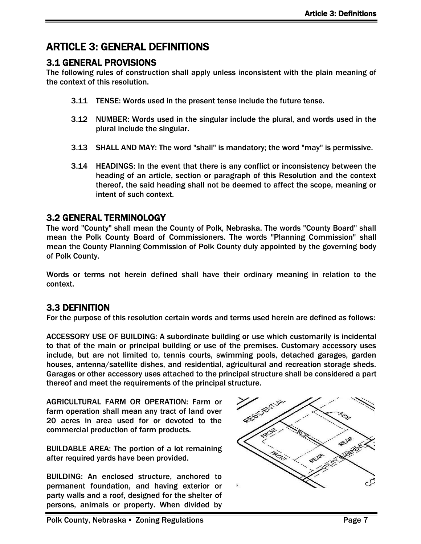# <span id="page-8-0"></span>ARTICLE 3: GENERAL DEFINITIONS

### <span id="page-8-1"></span>3.1 GENERAL PROVISIONS

The following rules of construction shall apply unless inconsistent with the plain meaning of the context of this resolution.

- 3.11 TENSE: Words used in the present tense include the future tense.
- 3.12 NUMBER: Words used in the singular include the plural, and words used in the plural include the singular.
- 3.13 SHALL AND MAY: The word "shall" is mandatory; the word "may" is permissive.
- 3.14 HEADINGS: In the event that there is any conflict or inconsistency between the heading of an article, section or paragraph of this Resolution and the context thereof, the said heading shall not be deemed to affect the scope, meaning or intent of such context.

### <span id="page-8-2"></span>3.2 GENERAL TERMINOLOGY

The word "County" shall mean the County of Polk, Nebraska. The words "County Board" shall mean the Polk County Board of Commissioners. The words "Planning Commission" shall mean the County Planning Commission of Polk County duly appointed by the governing body of Polk County.

Words or terms not herein defined shall have their ordinary meaning in relation to the context.

### <span id="page-8-3"></span>3.3 DEFINITION

For the purpose of this resolution certain words and terms used herein are defined as follows:

ACCESSORY USE OF BUILDING: A subordinate building or use which customarily is incidental to that of the main or principal building or use of the premises. Customary accessory uses include, but are not limited to, tennis courts, swimming pools, detached garages, garden houses, antenna/satellite dishes, and residential, agricultural and recreation storage sheds. Garages or other accessory uses attached to the principal structure shall be considered a part thereof and meet the requirements of the principal structure.

AGRICULTURAL FARM OR OPERATION: Farm or farm operation shall mean any tract of land over 20 acres in area used for or devoted to the commercial production of farm products.

BUILDABLE AREA: The portion of a lot remaining after required yards have been provided.

BUILDING: An enclosed structure, anchored to permanent foundation, and having exterior or party walls and a roof, designed for the shelter of persons, animals or property. When divided by

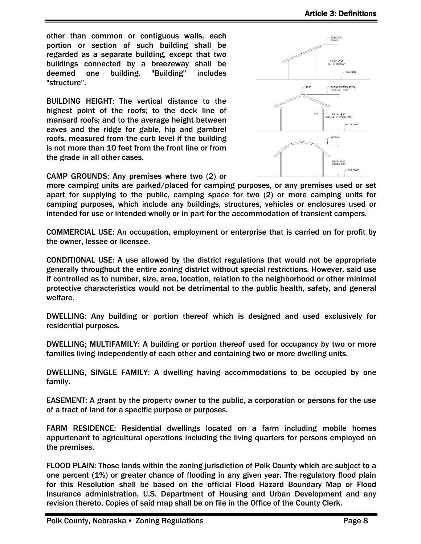other than common or contiguous walls, each portion or section of such building shall be regarded as a separate building, except that two buildings connected by a breezeway shall be deemed one building. "Building" includes "structure".

BUILDING HEIGHT: The vertical distance to the highest point of the roofs; to the deck line of mansard roofs; and to the average height between eaves and the ridge for gable, hip and gambrel roofs, measured from the curb level if the building is not more than 10 feet from the front line or from the grade in all other cases.



CAMP GROUNDS: Any premises where two (2) or

more camping units are parked/placed for camping purposes, or any premises used or set apart for supplying to the public, camping space for two (2) or more camping units for camping purposes, which include any buildings, structures, vehicles or enclosures used or intended for use or intended wholly or in part for the accommodation of transient campers.

COMMERCIAL USE: An occupation, employment or enterprise that is carried on for profit by the owner, lessee or licensee.

CONDITIONAL USE: A use allowed by the district regulations that would not be appropriate generally throughout the entire zoning district without special restrictions. However, said use if controlled as to number, size, area, location, relation to the neighborhood or other minimal protective characteristics would not be detrimental to the public health, safety, and general welfare.

DWELLING: Any building or portion thereof which is designed and used exclusively for residential purposes.

DWELLING; MULTIFAMILY: A building or portion thereof used for occupancy by two or more families living independently of each other and containing two or more dwelling units.

DWELLING, SINGLE FAMILY: A dwelling having accommodations to be occupied by one family.

EASEMENT: A grant by the property owner to the public, a corporation or persons for the use of a tract of land for a specific purpose or purposes.

FARM RESIDENCE: Residential dwellings located on a farm including mobile homes appurtenant to agricultural operations including the living quarters for persons employed on the premises.

FLOOD PLAIN: Those lands within the zoning jurisdiction of Polk County which are subject to a one percent (1%) or greater chance of flooding in any given year. The regulatory flood plain for this Resolution shall be based on the official Flood Hazard Boundary Map or Flood Insurance administration, U.S. Department of Housing and Urban Development and any revision thereto. Copies of said map shall be on file in the Office of the County Clerk.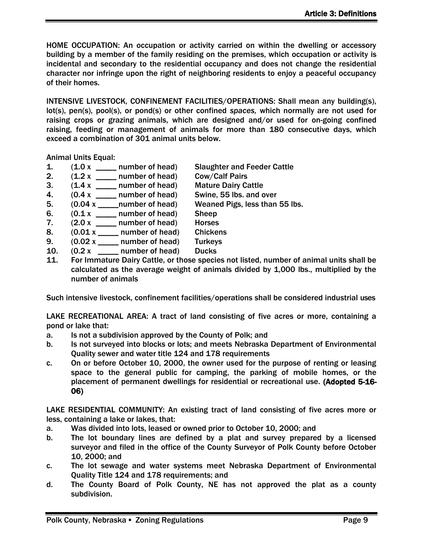HOME OCCUPATION: An occupation or activity carried on within the dwelling or accessory building by a member of the family residing on the premises, which occupation or activity is incidental and secondary to the residential occupancy and does not change the residential character nor infringe upon the right of neighboring residents to enjoy a peaceful occupancy of their homes.

INTENSIVE LIVESTOCK, CONFINEMENT FACILITIES/OPERATIONS: Shall mean any building(s), lot(s), pen(s), pool(s), or pond(s) or other confined *spaces,* which normally are not used for raising crops or grazing animals, which are designed and/or used for on-going confined raising, feeding or management of animals for more than 180 consecutive days, which exceed a combination of 301 animal units below.

Animal Units Equal:

- 1. (1.0 x \_\_\_\_\_ number of head) Slaughter and Feeder Cattle
- 2.  $(1.2 \times$  \_\_\_\_\_ number of head) Cow/Calf Pairs
- 3. (1.4 x \_\_\_\_\_ number of head) Mature Dairy Cattle
- 4. (0.4 x \_\_\_\_\_ number of head) Swine, 55 lbs. and over
- 5. (0.04 x \_\_\_\_\_number of head) Weaned Pigs, less than 55 lbs.
- 6.  $(0.1 \times$  \_\_\_\_\_ number of head) Sheep
- 7.  $(2.0 \times \_\_\_\_\$  number of head) Horses
- 8.  $(0.01 \times \_ \_ \_$  number of head) Chickens
- 9.  $(0.02 \times \square)$  number of head) Turkeys
- 10.  $(0.2 x$  \_\_\_\_\_ number of head) Ducks
- 11. For Immature Dairy Cattle, or those species not listed, number of animal units shall be calculated as the average weight of animals divided by 1,000 lbs., multiplied by the number of animals

Such intensive livestock, confinement facilities/operations shall be considered industrial uses

LAKE RECREATIONAL AREA: A tract of land consisting of five acres or more, containing a pond or lake that:

- a. Is not a subdivision approved by the County of Polk; and
- b. Is not surveyed into blocks or lots; and meets Nebraska Department of Environmental Quality sewer and water title 124 and 178 requirements
- c. On or before October 10, 2000, the owner used for the purpose of renting or leasing space to the general public for camping, the parking of mobile homes, or the placement of permanent dwellings for residential or recreational use. (Adopted 5-16- 06)

LAKE RESIDENTIAL COMMUNITY: An existing tract of land consisting of five acres more or less, containing a lake or lakes, that:

- a. Was divided into lots, leased or owned prior to October 10, 2000; and
- b. The lot boundary lines are defined by a plat and survey prepared by a licensed surveyor and filed in the office of the County Surveyor of Polk County before October 10, 2000; and
- c. The lot sewage and water systems meet Nebraska Department of Environmental Quality Title 124 and 178 requirements; and
- d. The County Board of Polk County, NE has not approved the plat as a county subdivision.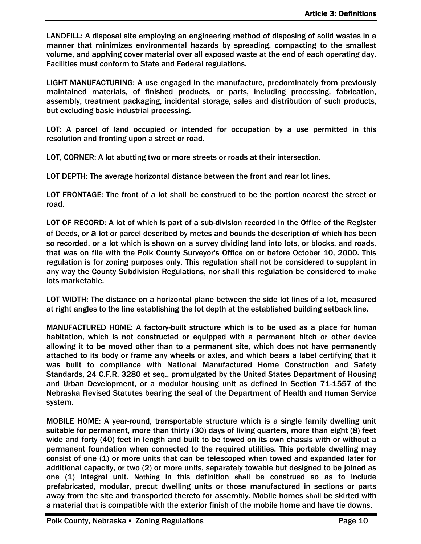LANDFILL: A disposal site employing an engineering method of disposing of solid wastes in a manner that minimizes environmental hazards by spreading, compacting to the smallest volume, and applying cover material over all exposed waste at the end of each operating day. Facilities must conform to State and Federal regulations.

LIGHT MANUFACTURING: A use engaged in the manufacture, predominately from previously maintained materials, of finished products, or parts, including processing, fabrication, assembly, treatment packaging, incidental storage, sales and distribution of such products, but excluding basic industrial processing.

LOT: A parcel of land occupied or intended for occupation by a use permitted in this resolution and fronting upon a street or road.

LOT, CORNER: A lot abutting two or more streets or roads at their intersection.

LOT DEPTH: The average horizontal distance between the front and rear lot lines.

LOT FRONTAGE: The front of a lot shall be construed to be the portion nearest the street or road.

LOT OF RECORD: A lot of which is part of a sub-division recorded in the Office of the Register of Deeds, or a lot or parcel described by metes and bounds the description of which has been so recorded, or a lot which is shown on a survey dividing land into lots, or blocks, and roads, that was on file with the Polk County Surveyor's Office on or before October 10, 2000. This regulation is for zoning purposes only. This regulation shall not be considered to supplant in any way the County Subdivision Regulations, nor shall this regulation be considered to make lots marketable.

LOT WIDTH: The distance on a horizontal plane between the side lot lines of a lot, measured at right angles to the line establishing the lot depth at the established building setback line.

MANUFACTURED HOME: A factory-built structure which is to be used as a place for human habitation, which is not constructed or equipped with a permanent hitch or other device allowing it to be moved other than to a permanent site, which does not have permanently attached to its body or frame any wheels or axles, and which bears a label certifying that it was built to compliance with National Manufactured Home Construction and Safety Standards, 24 C.F.R. 3280 et seq., promulgated by the United States Department of Housing and Urban Development, or a modular housing unit as defined in Section 71-1557 of the Nebraska Revised Statutes bearing the seal of the Department of Health and Human Service system.

MOBILE HOME: A year-round, transportable structure which is a single family dwelling unit suitable for permanent, more than thirty (30) days of living quarters, more than eight (8) feet wide and forty (40) feet in length and built to be towed on its own chassis with or without a permanent foundation when connected to the required utilities. This portable dwelling may consist of one (1) or more units that can be telescoped when towed and expanded later for additional capacity, or two (2) or more units, separately towable but designed to be joined as one (1) integral unit. Nothing in this definition shall be construed so as to include prefabricated, modular, precut dwelling units or those manufactured in sections or parts away from the site and transported thereto for assembly. Mobile homes shall be skirted with a material that is compatible with the exterior finish of the mobile home and have tie downs.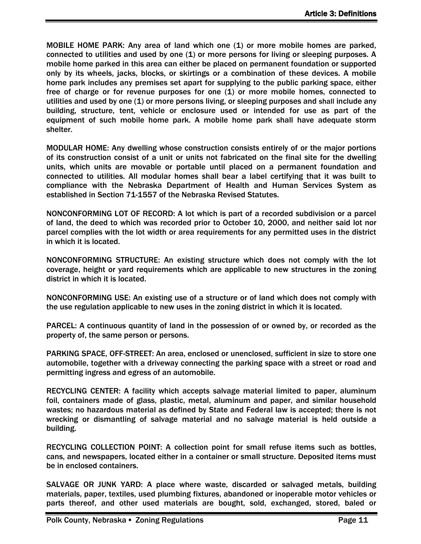MOBILE HOME PARK: Any area of land which one (1) or more mobile homes are parked, connected to utilities and used by one (1) or more persons for living or sleeping purposes. A mobile home parked in this area can either be placed on permanent foundation or supported only by its wheels, jacks, blocks, or skirtings or a combination of these devices. A mobile home park includes any premises set apart for supplying to the public parking space, either free of charge or for revenue purposes for one (1) or more mobile homes, connected to utilities and used by one (1) or more persons living, or sleeping purposes and shall include any building, structure, tent, vehicle or enclosure used or intended for use as part of the equipment of such mobile home park. A mobile home park shall have adequate storm shelter.

MODULAR HOME: Any dwelling whose construction consists entirely of or the major portions of its construction consist of a unit or units not fabricated on the final site for the dwelling units, which units are movable or portable until placed on a permanent foundation and connected to utilities. All modular homes shall bear a label certifying that it was built to compliance with the Nebraska Department of Health and Human Services System as established in Section 71-1557 of the Nebraska Revised Statutes.

NONCONFORMING LOT OF RECORD: A lot which is part of a recorded subdivision or a parcel of land, the deed to which was recorded prior to October 10, 2000, and neither said lot nor parcel complies with the lot width or area requirements for any permitted uses in the district in which it is located.

NONCONFORMING STRUCTURE: An existing structure which does not comply with the lot coverage, height or yard requirements which are applicable to new structures in the zoning district in which it is located.

NONCONFORMING USE: An existing use of a structure or of land which does not comply with the use regulation applicable to new uses in the zoning district in which it is located.

PARCEL: A continuous quantity of land in the possession of or owned by, or recorded as the property of, the same person or persons.

PARKING SPACE, OFF-STREET: An area, enclosed or unenclosed, sufficient in size to store one automobile, together with a driveway connecting the parking space with a street or road and permitting ingress and egress of an automobile.

RECYCLING CENTER: A facility which accepts salvage material limited to paper, aluminum foil, containers made of glass, plastic, metal, aluminum and paper, and similar household wastes; no hazardous material as defined by State and Federal law is accepted; there is not wrecking or dismantling of salvage material and no salvage material is held outside a building.

RECYCLING COLLECTION POINT: A collection point for small refuse items such as bottles, cans, and newspapers, located either in a container or small structure. Deposited items must be in enclosed containers.

SALVAGE OR JUNK YARD: A place where waste, discarded or salvaged metals, building materials, paper, textiles, used plumbing fixtures, abandoned or inoperable motor vehicles or parts thereof, and other used materials are bought, sold, exchanged, stored, baled or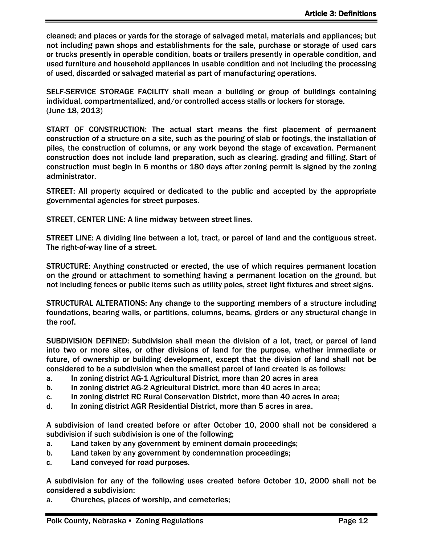cleaned; and places or yards for the storage of salvaged metal, materials and appliances; but not including pawn shops and establishments for the sale, purchase or storage of used cars or trucks presently in operable condition, boats or trailers presently in operable condition, and used furniture and household appliances in usable condition and not including the processing of used, discarded or salvaged material as part of manufacturing operations.

SELF-SERVICE STORAGE FACILITY shall mean a building or group of buildings containing individual, compartmentalized, and/or controlled access stalls or lockers for storage. (June 18, 2013)

START OF CONSTRUCTION: The actual start means the first placement of permanent construction of a structure on a site, such as the pouring of slab or footings, the installation of piles, the construction of columns, or any work beyond the stage of excavation. Permanent construction does not include land preparation, such as clearing, grading and filling. Start of construction must begin in 6 months or 180 days after zoning permit is signed by the zoning administrator.

STREET: All property acquired or dedicated to the public and accepted by the appropriate governmental agencies for street purposes.

STREET, CENTER LINE: A line midway between street lines.

STREET LINE: A dividing line between a lot, tract, or parcel of land and the contiguous street. The right-of-way line of a street.

STRUCTURE: Anything constructed or erected, the use of which requires permanent location on the ground or attachment to something having a permanent location on the ground, but not including fences or public items such as utility poles, street light fixtures and street signs.

STRUCTURAL ALTERATIONS: Any change to the supporting members of a structure including foundations, bearing walls, or partitions, columns, beams, girders or any structural change in the roof.

SUBDIVISION DEFINED: Subdivision shall mean the division of a lot, tract, or parcel of land into two or more sites, or other divisions of land for the purpose, whether immediate or future, of ownership or building development, except that the division of land shall not be considered to be a subdivision when the smallest parcel of land created is as follows:

- a. In zoning district AG-1 Agricultural District, more than 20 acres in area
- b. In zoning district AG-2 Agricultural District, more than 40 acres in area;
- c. In zoning district RC Rural Conservation District, more than 40 acres in area;
- d. In zoning district AGR Residential District, more than 5 acres in area.

A subdivision of land created before or after October 10, 2000 shall not be considered a subdivision if such subdivision is one of the following;

- a. Land taken by any government by eminent domain proceedings;
- b. Land taken by any government by condemnation proceedings;
- c. Land conveyed for road purposes.

A subdivision for any of the following uses created before October 10, 2000 shall not be considered a subdivision:

a. Churches, places of worship, and cemeteries;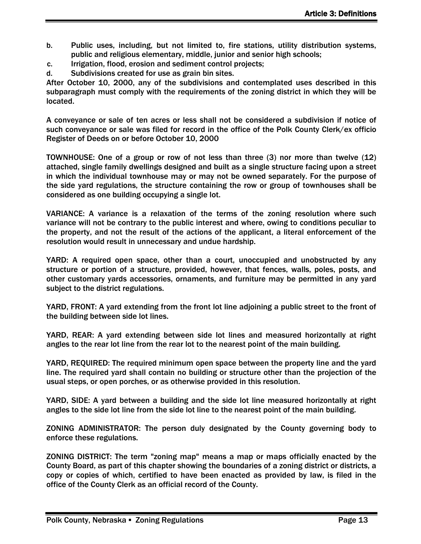- b. Public uses, including, but not limited to, fire stations, utility distribution systems, public and religious elementary, middle, junior and senior high schools;
- c. Irrigation, flood, erosion and sediment control projects;
- d. Subdivisions created for use as grain bin sites.

After October 10, 2000, any of the subdivisions and contemplated uses described in this subparagraph must comply with the requirements of the zoning district in which they will be located.

A conveyance or sale of ten acres or less shall not be considered a subdivision if notice of such conveyance or sale was filed for record in the office of the Polk County Clerk/ex officio Register of Deeds on or before October 10, 2000

TOWNHOUSE: One of a group or row of not less than three (3) nor more than twelve (12) attached, single family dwellings designed and built as a single structure facing upon a street in which the individual townhouse may or may not be owned separately. For the purpose of the side yard regulations, the structure containing the row or group of townhouses shall be considered as one building occupying a single lot.

VARIANCE: A variance is a relaxation of the terms of the zoning resolution where such variance will not be contrary to the public interest and where, owing to conditions peculiar to the property, and not the result of the actions of the applicant, a literal enforcement of the resolution would result in unnecessary and undue hardship.

YARD: A required open space, other than a court, unoccupied and unobstructed by any structure or portion of a structure, provided, however, that fences, walls, poles, posts, and other customary yards accessories, ornaments, and furniture may be permitted in any yard subject to the district regulations.

YARD, FRONT: A yard extending from the front lot line adjoining a public street to the front of the building between side lot lines.

YARD, REAR: A yard extending between side lot lines and measured horizontally at right angles to the rear lot line from the rear lot to the nearest point of the main building.

YARD, REQUIRED: The required minimum open space between the property line and the yard line. The required yard shall contain no building or structure other than the projection of the usual steps, or open porches, or as otherwise provided in this resolution.

YARD, SIDE: A yard between a building and the side lot line measured horizontally at right angles to the side lot line from the side lot line to the nearest point of the main building.

ZONING ADMINISTRATOR: The person duly designated by the County governing body to enforce these regulations.

ZONING DISTRICT: The term "zoning map" means a map or maps officially enacted by the County Board, as part of this chapter showing the boundaries of a zoning district or districts, a copy or copies of which, certified to have been enacted as provided by law, is filed in the office of the County Clerk as an official record of the County.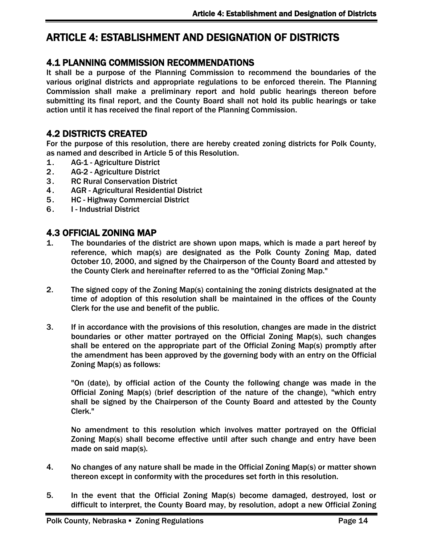# <span id="page-15-0"></span>ARTICLE 4: ESTABLISHMENT AND DESIGNATION OF DISTRICTS

### <span id="page-15-1"></span>4.1 PLANNING COMMISSION RECOMMENDATIONS

It shall be a purpose of the Planning Commission to recommend the boundaries of the various original districts and appropriate regulations to be enforced therein. The Planning Commission shall make a preliminary report and hold public hearings thereon before submitting its final report, and the County Board shall not hold its public hearings or take action until it has received the final report of the Planning Commission.

#### <span id="page-15-2"></span>4.2 DISTRICTS CREATED

For the purpose of this resolution, there are hereby created zoning districts for Polk County, as named and described in Article 5 of this Resolution.

- 1. AG-1 Agriculture District
- 2. AG-2 Agriculture District
- 3. RC Rural Conservation District
- 4. AGR Agricultural Residential District
- 5. HC Highway Commercial District
- 6. I Industrial District

#### <span id="page-15-3"></span>4.3 OFFICIAL ZONING MAP

- 1. The boundaries of the district are shown upon maps, which is made a part hereof by reference, which map(s) are designated as the Polk County Zoning Map, dated October 10, 2000, and signed by the Chairperson of the County Board and attested by the County Clerk and hereinafter referred to as the "Official Zoning Map."
- 2. The signed copy of the Zoning Map(s) containing the zoning districts designated at the time of adoption of this resolution shall be maintained in the offices of the County Clerk for the use and benefit of the public.
- 3. If in accordance with the provisions of this resolution, changes are made in the district boundaries or other matter portrayed on the Official Zoning Map(s), such changes shall be entered on the appropriate part of the Official Zoning Map(s) promptly after the amendment has been approved by the governing body with an entry on the Official Zoning Map(s) as follows:

"On (date), by official action of the County the following change was made in the Official Zoning Map(s) (brief description of the nature of the change), "which entry shall be signed by the Chairperson of the County Board and attested by the County Clerk."

No amendment to this resolution which involves matter portrayed on the Official Zoning Map(s) shall become effective until after such change and entry have been made on said map(s).

- 4. No changes of any nature shall be made in the Official Zoning Map(s) or matter shown thereon except in conformity with the procedures set forth in this resolution.
- 5. In the event that the Official Zoning Map(s) become damaged, destroyed, lost or difficult to interpret, the County Board may, by resolution, adopt a new Official Zoning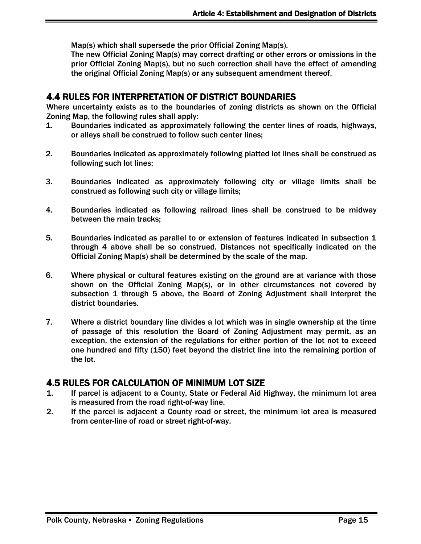Map(s) which shall supersede the prior Official Zoning Map(s).

The new Official Zoning Map(s) may correct drafting or other errors or omissions in the prior Official Zoning Map(s), but no such correction shall have the effect of amending the original Official Zoning Map(s) or any subsequent amendment thereof.

#### <span id="page-16-0"></span>4.4 RULES FOR INTERPRETATION OF DISTRICT BOUNDARIES

Where uncertainty exists as to the boundaries of zoning districts as shown on the Official Zoning Map, the following rules shall apply:

- 1. Boundaries indicated as approximately following the center lines of roads, highways, or alleys shall be construed to follow such center lines;
- 2. Boundaries indicated as approximately following platted lot lines shall be construed as following such lot lines;
- 3. Boundaries indicated as approximately following city or village limits shall be construed as following such city or village limits;
- 4. Boundaries indicated as following railroad lines shall be construed to be midway between the main tracks;
- 5. Boundaries indicated as parallel to or extension of features indicated in subsection 1 through 4 above shall be so construed. Distances not specifically indicated on the Official Zoning Map(s) shall be determined by the scale of the map.
- 6. Where physical or cultural features existing on the ground are at variance with those shown on the Official Zoning Map(s), or in other circumstances not covered by subsection 1 through 5 above, the Board of Zoning Adjustment shall interpret the district boundaries.
- 7. Where a district boundary line divides a lot which was in single ownership at the time of passage of this resolution the Board of Zoning Adjustment may permit, as an exception, the extension of the regulations for either portion of the lot not to exceed one hundred and fifty (150) feet beyond the district line into the remaining portion of the lot.

### <span id="page-16-1"></span>4.5 RULES FOR CALCULATION OF MINIMUM LOT SIZE

- 1. If parcel is adjacent to a County, State or Federal Aid Highway, the minimum lot area is measured from the road right-of-way line.
- 2. If the parcel is adjacent a County road or street, the minimum lot area is measured from center-line of road or street right-of-way.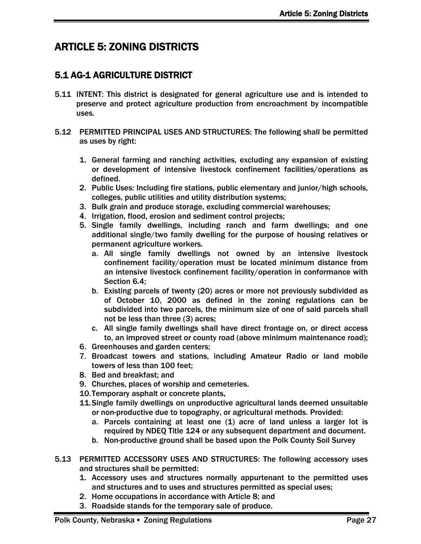# <span id="page-18-0"></span>ARTICLE 5: ZONING DISTRICTS

# <span id="page-18-1"></span>5.1 AG-1 AGRICULTURE DISTRICT

- 5.11 INTENT: This district is designated for general agriculture use and is intended to preserve and protect agriculture production from encroachment by incompatible uses.
- 5.12 PERMITTED PRINCIPAL USES AND STRUCTURES: The following shall be permitted as uses by right:
	- 1. General farming and ranching activities, excluding any expansion of existing or development of intensive livestock confinement facilities/operations as defined.
	- 2. Public Uses: Including fire stations, public elementary and junior/high schools, colleges, public utilities and utility distribution systems;
	- 3. Bulk grain and produce storage, excluding commercial warehouses;
	- 4. Irrigation, flood, erosion and sediment control projects;
	- 5. Single family dwellings, including ranch and farm dwellings; and one additional single/two family dwelling for the purpose of housing relatives or permanent agriculture workers.
		- a. All single family dwellings not owned by an intensive livestock confinement facility/operation must be located minimum distance from an intensive livestock confinement facility/operation in conformance with Section 6.4;
		- b. Existing parcels of twenty (20) acres or more not previously subdivided as of October 10, 2000 as defined in the zoning regulations can be subdivided into two parcels, the minimum size of one of said parcels shall not be less than three (3) acres;
		- c. All single family dwellings shall have direct frontage on, or direct access to, an improved street or county road (above minimum maintenance road);
	- 6. Greenhouses and garden centers;
	- 7. Broadcast towers and stations, including Amateur Radio or land mobile towers of less than 100 feet;
	- 8. Bed and breakfast; and
	- 9. Churches, places of worship and cemeteries.
	- 10.Temporary asphalt or concrete plants.
	- 11.Single family dwellings on unproductive agricultural lands deemed unsuitable or non-productive due to topography, or agricultural methods. Provided:
		- a. Parcels containing at least one (1) acre of land unless a larger lot is required by NDEQ Title 124 or any subsequent department and document.
		- b. Non-productive ground shall be based upon the Polk County Soil Survey
- 5.13 PERMITTED ACCESSORY USES AND STRUCTURES: The following accessory uses and structures shall be permitted:
	- 1. Accessory uses and structures normally appurtenant to the permitted uses and structures and to uses and structures permitted as special uses;
	- 2. Home occupations in accordance with Article 8; and
	- 3. Roadside stands for the temporary sale of produce.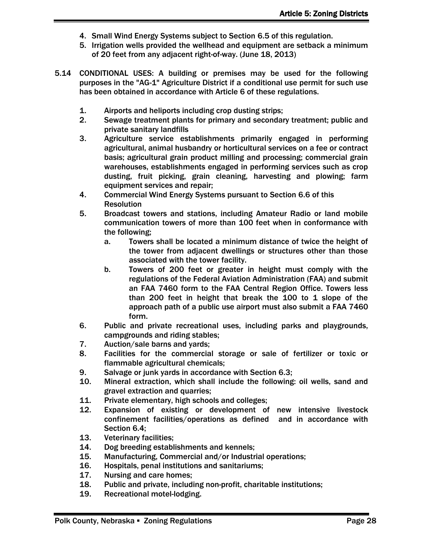- 4. Small Wind Energy Systems subject to Section 6.5 of this regulation.
- 5. Irrigation wells provided the wellhead and equipment are setback a minimum of 20 feet from any adjacent right-of-way. (June 18, 2013)
- 5.14 CONDITIONAL USES: A building or premises may be used for the following purposes in the "AG-1" Agriculture District if a conditional use permit for such use has been obtained in accordance with Article 6 of these regulations.
	- 1. Airports and heliports including crop dusting strips;
	- 2. Sewage treatment plants for primary and secondary treatment; public and private sanitary landfills
	- 3. Agriculture service establishments primarily engaged in performing agricultural, animal husbandry or horticultural services on a fee or contract basis; agricultural grain product milling and processing; commercial grain warehouses, establishments engaged in performing services such as crop dusting, fruit picking, grain cleaning, harvesting and plowing; farm equipment services and repair;
	- 4. Commercial Wind Energy Systems pursuant to Section 6.6 of this Resolution
	- 5. Broadcast towers and stations, including Amateur Radio or land mobile communication towers of more than 100 feet when in conformance with the following;
		- a. Towers shall be located a minimum distance of twice the height of the tower from adjacent dwellings or structures other than those associated with the tower facility.
		- b. Towers of 200 feet or greater in height must comply with the regulations of the Federal Aviation Administration (FAA) and submit an FAA 7460 form to the FAA Central Region Office. Towers less than 200 feet in height that break the 100 to 1 slope of the approach path of a public use airport must also submit a FAA 7460 form.
	- 6. Public and private recreational uses, including parks and playgrounds, campgrounds and riding stables;
	- 7. Auction/sale barns and yards;
	- 8. Facilities for the commercial storage or sale of fertilizer or toxic or flammable agricultural chemicals;
	- 9. Salvage or junk yards in accordance with Section 6.3;
	- 10. Mineral extraction, which shall include the following: oil wells, sand and gravel extraction and quarries;
	- 11. Private elementary, high schools and colleges;
	- 12. Expansion of existing or development of new intensive livestock confinement facilities/operations as defined and in accordance with Section 6.4;
	- 13. Veterinary facilities;
	- 14. Dog breeding establishments and kennels;
	- 15. Manufacturing, Commercial and/or Industrial operations;
	- 16. Hospitals, penal institutions and sanitariums;
	- 17. Nursing and care homes;
	- 18. Public and private, including non-profit, charitable institutions;
	- 19. Recreational motel-lodging.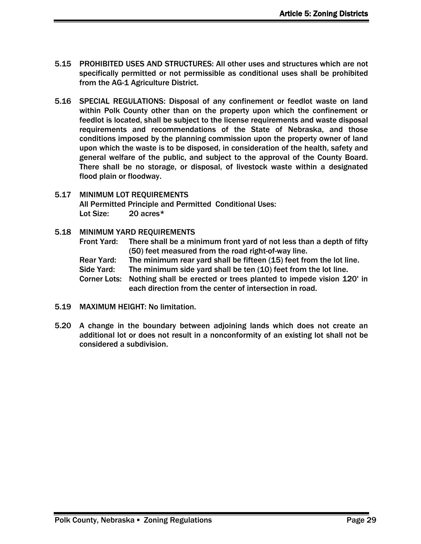- 5.15 PROHIBITED USES AND STRUCTURES: All other uses and structures which are not specifically permitted or not permissible as conditional uses shall be prohibited from the AG-1 Agriculture District.
- 5.16 SPECIAL REGULATIONS: Disposal of any confinement or feedlot waste on land within Polk County other than on the property upon which the confinement or feedlot is located, shall be subject to the license requirements and waste disposal requirements and recommendations of the State of Nebraska, and those conditions imposed by the planning commission upon the property owner of land upon which the waste is to be disposed, in consideration of the health, safety and general welfare of the public, and subject to the approval of the County Board. There shall be no storage, or disposal, of livestock waste within a designated flood plain or floodway.
- 5.17 MINIMUM LOT REQUIREMENTS All Permitted Principle and Permitted Conditional Uses: Lot Size: 20 acres\*
- 5.18 MINIMUM YARD REQUIREMENTS
	- Front Yard: There shall be a minimum front yard of not less than a depth of fifty (50) feet measured from the road right-of-way line.
	- Rear Yard: The minimum rear yard shall be fifteen (15) feet from the lot line.

Side Yard: The minimum side yard shall be ten (10) feet from the lot line.

- Corner Lots: Nothing shall be erected or trees planted to impede vision 120' in each direction from the center of intersection in road.
- 5.19 MAXIMUM HEIGHT: No limitation.
- 5.20 A change in the boundary between adjoining lands which does not create an additional lot or does not result in a nonconformity of an existing lot shall not be considered a subdivision.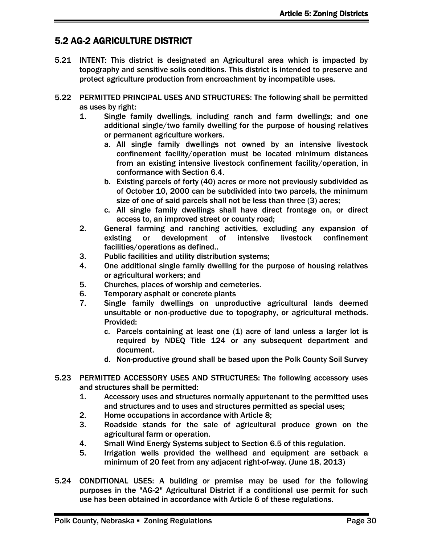# <span id="page-21-0"></span>5.2 AG-2 AGRICULTURE DISTRICT

- 5.21 INTENT: This district is designated an Agricultural area which is impacted by topography and sensitive soils conditions. This district is intended to preserve and protect agriculture production from encroachment by incompatible uses.
- 5.22 PERMITTED PRINCIPAL USES AND STRUCTURES: The following shall be permitted as uses by right:
	- 1. Single family dwellings, including ranch and farm dwellings; and one additional single/two family dwelling for the purpose of housing relatives or permanent agriculture workers.
		- a. All single family dwellings not owned by an intensive livestock confinement facility/operation must be located minimum distances from an existing intensive livestock confinement facility/operation, in conformance with Section 6.4.
		- b. Existing parcels of forty (40) acres or more not previously subdivided as of October 10, 2000 can be subdivided into two parcels, the minimum size of one of said parcels shall not be less than three (3) acres;
		- c. All single family dwellings shall have direct frontage on, or direct access to, an improved street or county road;
	- 2. General farming and ranching activities, excluding any expansion of existing or development of intensive livestock confinement facilities/operations as defined..
	- 3. Public facilities and utility distribution systems;
	- 4. One additional single family dwelling for the purpose of housing relatives or agricultural workers; and
	- 5. Churches, places of worship and cemeteries.
	- 6. Temporary asphalt or concrete plants
	- 7. Single family dwellings on unproductive agricultural lands deemed unsuitable or non-productive due to topography, or agricultural methods. Provided:
		- c. Parcels containing at least one (1) acre of land unless a larger lot is required by NDEQ Title 124 or any subsequent department and document.
		- d. Non-productive ground shall be based upon the Polk County Soil Survey
- 5.23 PERMITTED ACCESSORY USES AND STRUCTURES: The following accessory uses and structures shall be permitted:
	- 1. Accessory uses and structures normally appurtenant to the permitted uses and structures and to uses and structures permitted as special uses;
	- 2. Home occupations in accordance with Article 8;
	- 3. Roadside stands for the sale of agricultural produce grown on the agricultural farm or operation.
	- 4. Small Wind Energy Systems subject to Section 6.5 of this regulation.
	- 5. Irrigation wells provided the wellhead and equipment are setback a minimum of 20 feet from any adjacent right-of-way. (June 18, 2013)
- 5.24 CONDITIONAL USES: A building or premise may be used for the following purposes in the "AG-2" Agricultural District if a conditional use permit for such use has been obtained in accordance with Article 6 of these regulations.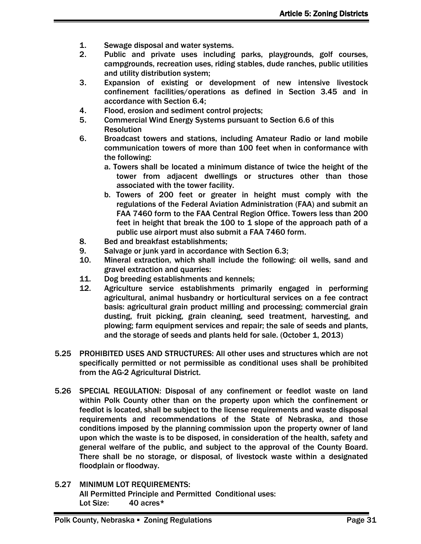- 1. Sewage disposal and water systems.
- 2. Public and private uses including parks, playgrounds, golf courses, campgrounds, recreation uses, riding stables, dude ranches, public utilities and utility distribution system;
- 3. Expansion of existing or development of new intensive livestock confinement facilities/operations as defined in Section 3.45 and in accordance with Section 6.4;
- 4. Flood, erosion and sediment control projects;
- 5. Commercial Wind Energy Systems pursuant to Section 6.6 of this **Resolution**
- 6. Broadcast towers and stations, including Amateur Radio or land mobile communication towers of more than 100 feet when in conformance with the following:
	- a. Towers shall be located a minimum distance of twice the height of the tower from adjacent dwellings or structures other than those associated with the tower facility.
	- b. Towers of 200 feet or greater in height must comply with the regulations of the Federal Aviation Administration (FAA) and submit an FAA 7460 form to the FAA Central Region Office. Towers less than 200 feet in height that break the 100 to 1 slope of the approach path of a public use airport must also submit a FAA 7460 form.
- 8. Bed and breakfast establishments;
- 9. Salvage or junk yard in accordance with Section 6.3;
- 10. Mineral extraction, which shall include the following: oil wells, sand and gravel extraction and quarries:
- 11. Dog breeding establishments and kennels;
- 12. Agriculture service establishments primarily engaged in performing agricultural, animal husbandry or horticultural services on a fee contract basis: agricultural grain product milling and processing; commercial grain dusting, fruit picking, grain cleaning, seed treatment, harvesting, and plowing; farm equipment services and repair; the sale of seeds and plants, and the storage of seeds and plants held for sale. (October 1, 2013)
- 5.25 PROHIBITED USES AND STRUCTURES: All other uses and structures which are not specifically permitted or not permissible as conditional uses shall be prohibited from the AG-2 Agricultural District.
- 5.26 SPECIAL REGULATION: Disposal of any confinement or feedlot waste on land within Polk County other than on the property upon which the confinement or feedlot is located, shall be subject to the license requirements and waste disposal requirements and recommendations of the State of Nebraska, and those conditions imposed by the planning commission upon the property owner of land upon which the waste is to be disposed, in consideration of the health, safety and general welfare of the public, and subject to the approval of the County Board. There shall be no storage, or disposal, of livestock waste within a designated floodplain or floodway.
- 5.27 MINIMUM LOT REQUIREMENTS: All Permitted Principle and Permitted Conditional uses: Lot Size: 40 acres\*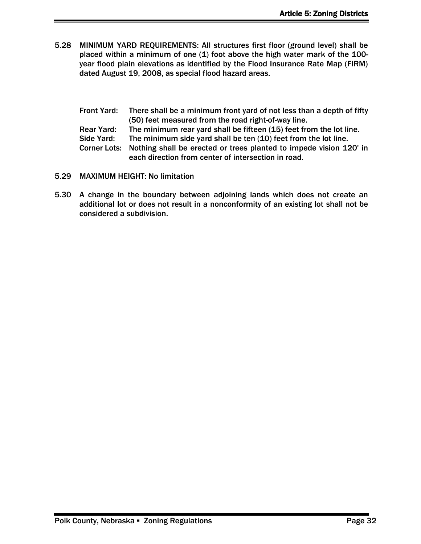5.28 MINIMUM YARD REQUIREMENTS: All structures first floor (ground level) shall be placed within a minimum of one (1) foot above the high water mark of the 100 year flood plain elevations as identified by the Flood Insurance Rate Map (FIRM) dated August 19, 2008, as special flood hazard areas.

Front Yard: There shall be a minimum front yard of not less than a depth of fifty (50) feet measured from the road right-of-way line. Rear Yard: The minimum rear yard shall be fifteen (15) feet from the lot line. Side Yard: The minimum side yard shall be ten (10) feet from the lot line. Corner Lots: Nothing shall be erected or trees planted to impede vision 120' in each direction from center of intersection in road.

- 5.29 MAXIMUM HEIGHT: No limitation
- 5.30 A change in the boundary between adjoining lands which does not create an additional lot or does not result in a nonconformity of an existing lot shall not be considered a subdivision.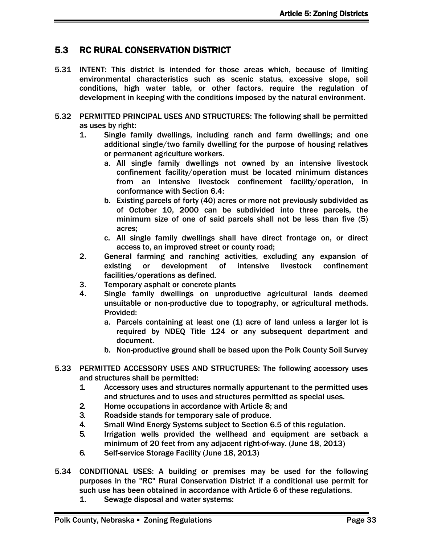# <span id="page-24-0"></span>5.3 RC RURAL CONSERVATION DISTRICT

- 5.31 INTENT: This district is intended for those areas which, because of limiting environmental characteristics such as scenic status, excessive slope, soil conditions, high water table, or other factors, require the regulation of development in keeping with the conditions imposed by the natural environment.
- 5.32 PERMITTED PRINCIPAL USES AND STRUCTURES: The following shall be permitted as uses by right:
	- 1. Single family dwellings, including ranch and farm dwellings; and one additional single/two family dwelling for the purpose of housing relatives or permanent agriculture workers.
		- a. All single family dwellings not owned by an intensive livestock confinement facility/operation must be located minimum distances from an intensive livestock confinement facility/operation, in conformance with Section 6.4:
		- b. Existing parcels of forty (40) acres or more not previously subdivided as of October 10, 2000 can be subdivided into three parcels, the minimum size of one of said parcels shall not be less than five (5) acres;
		- c. All single family dwellings shall have direct frontage on, or direct access to, an improved street or county road;
	- 2. General farming and ranching activities, excluding any expansion of existing or development of intensive livestock confinement facilities/operations as defined.
	- 3. Temporary asphalt or concrete plants
	- 4. Single family dwellings on unproductive agricultural lands deemed unsuitable or non-productive due to topography, or agricultural methods. Provided:
		- a. Parcels containing at least one (1) acre of land unless a larger lot is required by NDEQ Title 124 or any subsequent department and document.
		- b. Non-productive ground shall be based upon the Polk County Soil Survey
- 5.33 PERMITTED ACCESSORY USES AND STRUCTURES: The following accessory uses and structures shall be permitted:
	- 1. Accessory uses and structures normally appurtenant to the permitted uses and structures and to uses and structures permitted as special uses.
	- 2. Home occupations in accordance with Article 8; and
	- 3. Roadside stands for temporary sale of produce.
	- 4. Small Wind Energy Systems subject to Section 6.5 of this regulation.
	- 5. Irrigation wells provided the wellhead and equipment are setback a minimum of 20 feet from any adjacent right-of-way. (June 18, 2013)
	- 6. Self-service Storage Facility (June 18, 2013)
- 5.34 CONDITIONAL USES: A building or premises may be used for the following purposes in the "RC" Rural Conservation District if a conditional use permit for such use has been obtained in accordance with Article 6 of these regulations.
	- 1. Sewage disposal and water systems: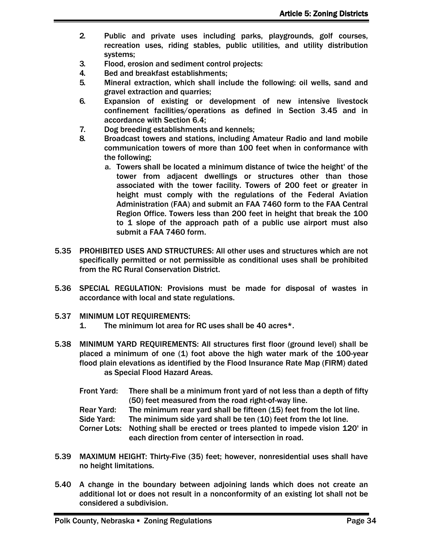- 2. Public and private uses including parks, playgrounds, golf courses, recreation uses, riding stables, public utilities, and utility distribution systems;
- 3. Flood, erosion and sediment control projects:
- 4. Bed and breakfast establishments;
- 5. Mineral extraction, which shall include the following: oil wells, sand and gravel extraction and quarries;
- 6. Expansion of existing or development of new intensive livestock confinement facilities/operations as defined in Section 3.45 and in accordance with Section 6.4;
- 7. Dog breeding establishments and kennels;
- 8. Broadcast towers and stations, including Amateur Radio and land mobile communication towers of more than 100 feet when in conformance with the following;
	- a. Towers shall be located a minimum distance of twice the height' of the tower from adjacent dwellings or structures other than those associated with the tower facility. Towers of 200 feet or greater in height must comply with the regulations of the Federal Aviation Administration (FAA) and submit an FAA 7460 form to the FAA Central Region Office. Towers less than 200 feet in height that break the 100 to 1 slope of the approach path of a public use airport must also submit a FAA 7460 form.
- 5.35 PROHIBITED USES AND STRUCTURES: All other uses and structures which are not specifically permitted or not permissible as conditional uses shall be prohibited from the RC Rural Conservation District.
- 5.36 SPECIAL REGULATION: Provisions must be made for disposal of wastes in accordance with local and state regulations.
- 5.37 MINIMUM LOT REQUIREMENTS:
	- 1. The minimum lot area for RC uses shall be 40 acres\*.
- 5.38 MINIMUM YARD REQUIREMENTS: All structures first floor (ground level) shall be placed a minimum of one (1) foot above the high water mark of the 100-year flood plain elevations as identified by the Flood Insurance Rate Map (FIRM) dated as Special Flood Hazard Areas.
	- Front Yard: There shall be a minimum front yard of not less than a depth of fifty (50) feet measured from the road right-of-way line.
	- Rear Yard: The minimum rear yard shall be fifteen (15) feet from the lot line.

Side Yard: The minimum side yard shall be ten (10) feet from the lot line.

Corner Lots: Nothing shall be erected or trees planted to impede vision 120' in each direction from center of intersection in road.

- 5.39 MAXIMUM HEIGHT: Thirty-Five (35) feet; however, nonresidential uses shall have no height limitations.
- 5.40 A change in the boundary between adjoining lands which does not create an additional lot or does not result in a nonconformity of an existing lot shall not be considered a subdivision.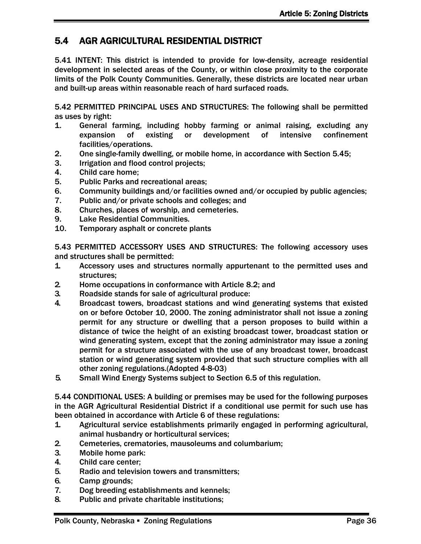# <span id="page-27-0"></span>5.4 AGR AGRICULTURAL RESIDENTIAL DISTRICT

5.41 INTENT: This district is intended to provide for low-density, acreage residential development in selected areas of the County, or within close proximity to the corporate limits of the Polk County Communities. Generally, these districts are located near urban and built-up areas within reasonable reach of hard surfaced roads.

5.42 PERMITTED PRINCIPAL USES AND STRUCTURES: The following shall be permitted as uses by right:

- 1. General farming, including hobby farming or animal raising, excluding any expansion of existing or development of intensive confinement facilities/operations.
- 2. One single-family dwelling, or mobile home, in accordance with Section 5.45;
- 3. Irrigation and flood control projects;
- 4. Child care home;
- 5. Public Parks and recreational areas;
- 6. Community buildings and/or facilities owned and/or occupied by public agencies;
- 7. Public and/or private schools and colleges; and
- 8. Churches, places of worship, and cemeteries.
- 9. Lake Residential Communities.
- 10. Temporary asphalt or concrete plants

5.43 PERMITTED ACCESSORY USES AND STRUCTURES: The following accessory uses and structures shall be permitted:

- 1. Accessory uses and structures normally appurtenant to the permitted uses and structures;
- 2. Home occupations in conformance with Article 8.2; and
- 3. Roadside stands for sale of agricultural produce:
- 4. Broadcast towers, broadcast stations and wind generating systems that existed on or before October 10, 2000. The zoning administrator shall not issue a zoning permit for any structure or dwelling that a person proposes to build within a distance of twice the height of an existing broadcast tower, broadcast station or wind generating system, except that the zoning administrator may issue a zoning permit for a structure associated with the use of any broadcast tower, broadcast station or wind generating system provided that such structure complies with all other zoning regulations.(Adopted 4-8-03)
- 5. Small Wind Energy Systems subject to Section 6.5 of this regulation.

5.44 CONDITIONAL USES: A building or premises may be used for the following purposes in the AGR Agricultural Residential District if a conditional use permit for such use has been obtained in accordance with Article 6 of these regulations:

- 1. Agricultural service establishments primarily engaged in performing agricultural, animal husbandry or horticultural services;
- 2. Cemeteries, crematories, mausoleums and columbarium;
- 3. Mobile home park:
- 4. Child care center;
- 5. Radio and television towers and transmitters;
- 6. Camp grounds;
- 7. Dog breeding establishments and kennels;
- 8. Public and private charitable institutions;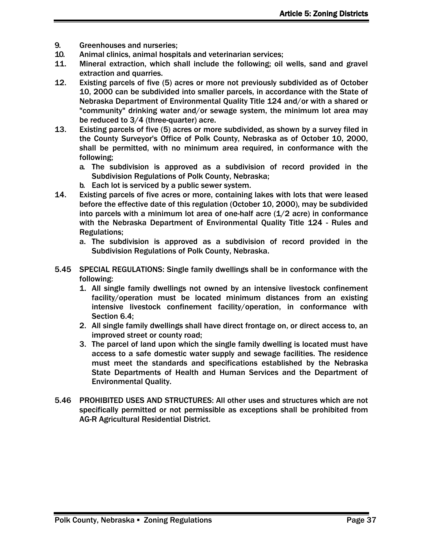- 9. Greenhouses and nurseries;
- 10. Animal clinics, animal hospitals and veterinarian services;
- 11. Mineral extraction, which shall include the following; oil wells, sand and gravel extraction and quarries.
- 12. Existing parcels of five (5) acres or more not previously subdivided as of October 10, 2000 can be subdivided into smaller parcels, in accordance with the State of Nebraska Department of Environmental Quality Title 124 and/or with a shared or "community" drinking water and/or sewage system, the minimum lot area may be reduced to 3/4 (three-quarter) acre.
- 13. Existing parcels of five (5) acres or more subdivided, as shown by a survey filed in the County Surveyor's Office of Polk County, Nebraska as of October 10, 2000, shall be permitted, with no minimum area required, in conformance with the following;
	- a. The subdivision is approved as a subdivision of record provided in the Subdivision Regulations of Polk County, Nebraska;
	- b. Each lot is serviced by a public sewer system.
- 14. Existing parcels of five acres or more, containing lakes with lots that were leased before the effective date of this regulation (October 10, 2000), may be subdivided into parcels with a minimum lot area of one-half acre  $(1/2$  acre) in conformance with the Nebraska Department of Environmental Quality Title 124 - Rules and Regulations;
	- a. The subdivision is approved as a subdivision of record provided in the Subdivision Regulations of Polk County, Nebraska.
- 5.45 SPECIAL REGULATIONS: Single family dwellings shall be in conformance with the following:
	- 1. All single family dwellings not owned by an intensive livestock confinement facility/operation must be located minimum distances from an existing intensive livestock confinement facility/operation, in conformance with Section 6.4;
	- 2. All single family dwellings shall have direct frontage on, or direct access to, an improved street or county road;
	- 3. The parcel of land upon which the single family dwelling is located must have access to a safe domestic water supply and sewage facilities. The residence must meet the standards and specifications established by the Nebraska State Departments of Health and Human Services and the Department of Environmental Quality.
- 5.46 PROHIBITED USES AND STRUCTURES: All other uses and structures which are not specifically permitted or not permissible as exceptions shall be prohibited from AG-R Agricultural Residential District.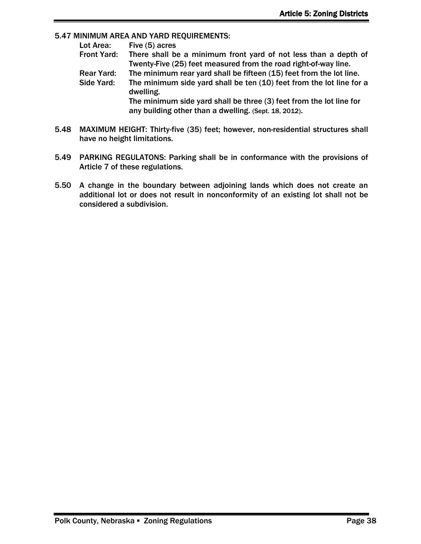#### 5.47 MINIMUM AREA AND YARD REQUIREMENTS:

| Lot Area:          | Five (5) acres                                                                    |
|--------------------|-----------------------------------------------------------------------------------|
| <b>Front Yard:</b> | There shall be a minimum front yard of not less than a depth of                   |
|                    | Twenty-Five (25) feet measured from the road right-of-way line.                   |
| <b>Rear Yard:</b>  | The minimum rear yard shall be fifteen (15) feet from the lot line.               |
| Side Yard:         | The minimum side yard shall be ten (10) feet from the lot line for a<br>dwelling. |
|                    | The minimum side yard shall be three (3) feet from the lot line for               |
|                    | any building other than a dwelling. (Sept. 18, 2012).                             |

- 5.48 MAXIMUM HEIGHT: Thirty-five (35) feet; however, non-residential structures shall have no height limitations.
- 5.49 PARKING REGULATONS: Parking shall be in conformance with the provisions of Article 7 of these regulations.
- 5.50 A change in the boundary between adjoining lands which does not create an additional lot or does not result in nonconformity of an existing lot shall not be considered a subdivision.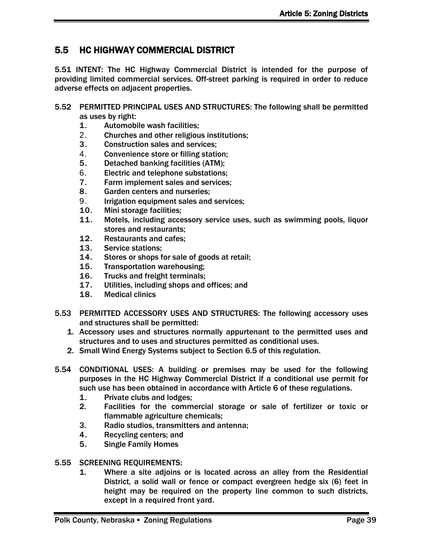# <span id="page-30-0"></span>5.5 HC HIGHWAY COMMERCIAL DISTRICT

5.51 INTENT: The HC Highway Commercial District is intended for the purpose of providing limited commercial services. Off-street parking is required in order to reduce adverse effects on adjacent properties.

- 5.52 PERMITTED PRINCIPAL USES AND STRUCTURES: The following shall be permitted as uses by right:
	- 1. Automobile wash facilities;
	- 2. Churches and other religious institutions;
	- 3. Construction sales and services;
	- 4. Convenience store or filling station;
	- 5. Detached banking facilities (ATM);
	- 6. Electric and telephone substations;
	- 7. Farm implement sales and services;
	- 8. Garden centers and nurseries;
	- 9. Irrigation equipment sales and services;
	- 10. Mini storage facilities;
	- 11. Motels, including accessory service uses, such as swimming pools, liquor stores and restaurants;
	- 12. Restaurants and cafes;
	- 13. Service stations;
	- 14. Stores or shops for sale of goods at retail;
	- 15. Transportation warehousing;
	- 16. Trucks and freight terminals;
	- 17. Utilities, including shops and offices; and
	- 18. Medical clinics
- 5.53 PERMITTED ACCESSORY USES AND STRUCTURES: The following accessory uses and structures shall be permitted:
	- 1. Accessory uses and structures normally appurtenant to the permitted uses and structures and to uses and structures permitted as conditional uses.
	- 2. Small Wind Energy Systems subject to Section 6.5 of this regulation.
- 5.54 CONDITIONAL USES: A building or premises may be used for the following purposes in the HC Highway Commercial District if a conditional use permit for such use has been obtained in accordance with Article 6 of these regulations.
	- 1. Private clubs and lodges;
	- 2. Facilities for the commercial storage or sale of fertilizer or toxic or flammable agriculture chemicals;
	- 3. Radio studios, transmitters and antenna;
	- 4. Recycling centers; and
	- 5. Single Family Homes
- 5.55 SCREENING REQUIREMENTS:
	- 1. Where a site adjoins or is located across an alley from the Residential District, a solid wall or fence or compact evergreen hedge six (6) feet in height may be required on the property line common to such districts, except in a required front yard.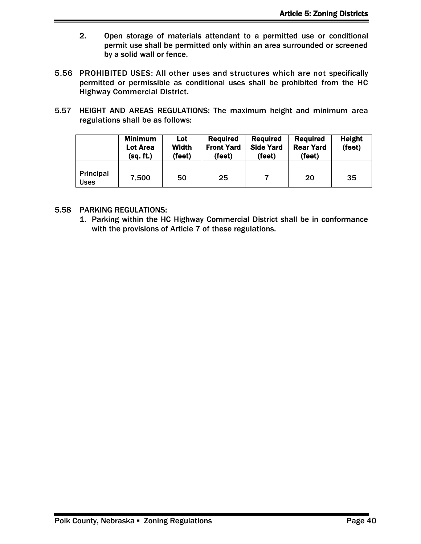- 2. Open storage of materials attendant to a permitted use or conditional permit use shall be permitted only within an area surrounded or screened by a solid wall or fence.
- 5.56 PROHIBITED USES: All other uses and structures which are not specifically permitted or permissible as conditional uses shall be prohibited from the HC Highway Commercial District.
- 5.57 HEIGHT AND AREAS REGULATIONS: The maximum height and minimum area regulations shall be as follows:

|                          | <b>Minimum</b><br><b>Lot Area</b><br>(sq. ft.) | Lot<br><b>Width</b><br>(feet) | <b>Required</b><br><b>Front Yard</b><br>(feet) | <b>Required</b><br><b>Side Yard</b><br>(feet) | Required<br><b>Rear Yard</b><br>(feet) | <b>Height</b><br>(feet) |
|--------------------------|------------------------------------------------|-------------------------------|------------------------------------------------|-----------------------------------------------|----------------------------------------|-------------------------|
|                          |                                                |                               |                                                |                                               |                                        |                         |
| Principal<br><b>Uses</b> | 7.500                                          | 50                            | 25                                             |                                               | 20                                     | 35                      |

- 5.58 PARKING REGULATIONS:
	- 1. Parking within the HC Highway Commercial District shall be in conformance with the provisions of Article 7 of these regulations.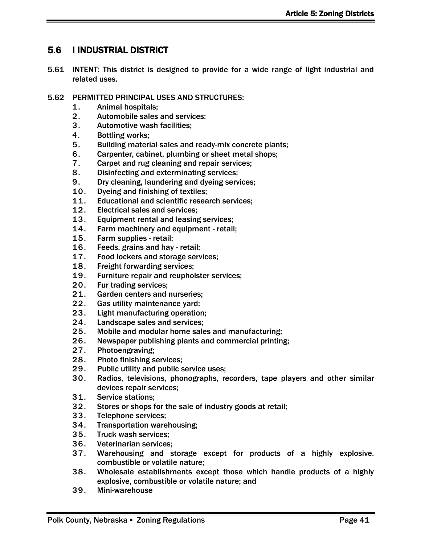# <span id="page-32-0"></span>5.6 I INDUSTRIAL DISTRICT

- 5.61 INTENT: This district is designed to provide for a wide range of light industrial and related uses.
- 5.62 PERMITTED PRINCIPAL USES AND STRUCTURES:
	- 1. Animal hospitals;
	- 2. Automobile sales and services;
	- 3. Automotive wash facilities;
	- 4. Bottling works;
	- 5. Building material sales and ready-mix concrete plants;
	- 6. Carpenter, cabinet, plumbing or sheet metal shops;
	- 7. Carpet and rug cleaning and repair services;
	- 8. Disinfecting and exterminating services;
	- 9. Dry cleaning, laundering and dyeing services;
	- 10. Dyeing and finishing of textiles;
	- 11. Educational and scientific research services;
	- 12. Electrical sales and services;
	- 13. Equipment rental and leasing services;
	- 14. Farm machinery and equipment retail;
	- 15. Farm supplies retail;
	- 16. Feeds, grains and hay retail;
	- 17. Food lockers and storage services;
	- 18. Freight forwarding services;
	- 19. Furniture repair and reupholster services;
	- 20. Fur trading services;
	- 21. Garden centers and nurseries;
	- 22. Gas utility maintenance yard;
	- 23. Light manufacturing operation;
	- 24. Landscape sales and services;
	- 25. Mobile and modular home sales and manufacturing;
	- 26. Newspaper publishing plants and commercial printing;
	- 27. Photoengraving;
	- 28. Photo finishing services;
	- 29. Public utility and public service uses;
	- 30. Radios, televisions, phonographs, recorders, tape players and other similar devices repair services;
	- 31. Service stations;
	- 32. Stores or shops for the sale of industry goods at retail;
	- 33. Telephone services;
	- 34. Transportation warehousing;
	- 35. Truck wash services;
	- 36. Veterinarian services;
	- 37. Warehousing and storage except for products of a highly explosive, combustible or volatile nature;
	- 38. Wholesale establishments except those which handle products of a highly explosive, combustible or volatile nature; and
	- 39. Mini-warehouse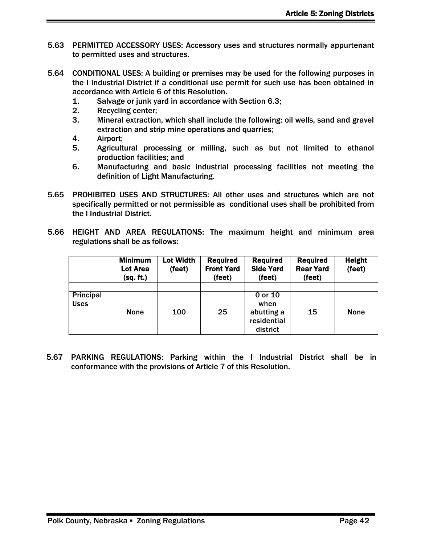- 5.63 PERMITTED ACCESSORY USES: Accessory uses and structures normally appurtenant to permitted uses and structures.
- 5.64 CONDITIONAL USES: A building or premises may be used for the following purposes in the I Industrial District if a conditional use permit for such use has been obtained in accordance with Article 6 of this Resolution.
	- 1. Salvage or junk yard in accordance with Section 6.3;
	- 2. Recycling center;
	- 3. Mineral extraction, which shall include the following: oil wells, sand and gravel extraction and strip mine operations and quarries;
	- 4. Airport;
	- 5. Agricultural processing or milling, such as but not limited to ethanol production facilities; and
	- 6. Manufacturing and basic industrial processing facilities not meeting the definition of Light Manufacturing.
- 5.65 PROHIBITED USES AND STRUCTURES: All other uses and structures which are not specifically permitted or not permissible as conditional uses shall be prohibited from the I Industrial District.
- 5.66 HEIGHT AND AREA REGULATIONS: The maximum height and minimum area regulations shall be as follows:

|                          | <b>Minimum</b><br>Lot Area<br>(sq. ft.) | Lot Width<br>(feet) | <b>Required</b><br><b>Front Yard</b><br>(feet) | <b>Required</b><br><b>Side Yard</b><br>(feet)            | <b>Required</b><br><b>Rear Yard</b><br>(feet) | <b>Height</b><br>(feet) |
|--------------------------|-----------------------------------------|---------------------|------------------------------------------------|----------------------------------------------------------|-----------------------------------------------|-------------------------|
| Principal<br><b>Uses</b> | <b>None</b>                             | 100                 | 25                                             | 0 or 10<br>when<br>abutting a<br>residential<br>district | 15                                            | <b>None</b>             |

5.67 PARKING REGULATIONS: Parking within the I Industrial District shall be in conformance with the provisions of Article 7 of this Resolution.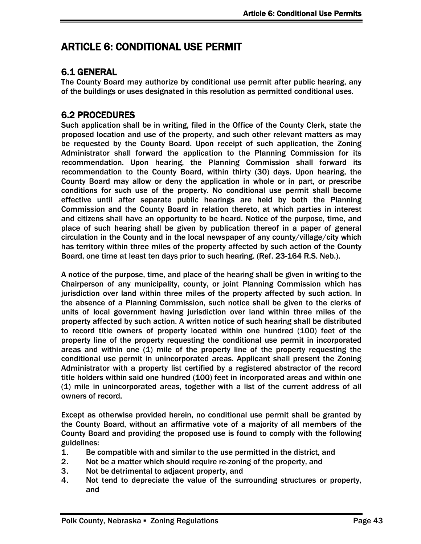# <span id="page-34-0"></span>ARTICLE 6: CONDITIONAL USE PERMIT

# <span id="page-34-1"></span>6.1 GENERAL

The County Board may authorize by conditional use permit after public hearing, any of the buildings or uses designated in this resolution as permitted conditional uses.

# <span id="page-34-2"></span>6.2 PROCEDURES

Such application shall be in writing, filed in the Office of the County Clerk, state the proposed location and use of the property, and such other relevant matters as may be requested by the County Board. Upon receipt of such application, the Zoning Administrator shall forward the application to the Planning Commission for its recommendation. Upon hearing, the Planning Commission shall forward its recommendation to the County Board, within thirty (30) days. Upon hearing, the County Board may allow or deny the application in whole or in part, or prescribe conditions for such use of the property. No conditional use permit shall become effective until after separate public hearings are held by both the Planning Commission and the County Board in relation thereto, at which parties in interest and citizens shall have an opportunity to be heard. Notice of the purpose, time, and place of such hearing shall be given by publication thereof in a paper of general circulation in the County and in the local newspaper of any county/village/city which has territory within three miles of the property affected by such action of the County Board, one time at least ten days prior to such hearing. (Ref. 23-164 R.S. Neb.).

A notice of the purpose, time, and place of the hearing shall be given in writing to the Chairperson of any municipality, county, or joint Planning Commission which has jurisdiction over land within three miles of the property affected by such action. In the absence of a Planning Commission, such notice shall be given to the clerks of units of local government having jurisdiction over land within three miles of the property affected by such action. A written notice of such hearing shall be distributed to record title owners of property located within one hundred (100) feet of the property line of the property requesting the conditional use permit in incorporated areas and within one  $(1)$  mile of the property line of the property requesting the conditional use permit in unincorporated areas. Applicant shall present the Zoning Administrator with a property list certified by a registered abstractor of the record title holders within said one hundred (100) feet in incorporated areas and within one (1) mile in unincorporated areas, together with a list of the current address of all owners of record.

Except as otherwise provided herein, no conditional use permit shall be granted by the County Board, without an affirmative vote of a majority of all members of the County Board and providing the proposed use is found to comply with the following guidelines:

- 1. Be compatible with and similar to the use permitted in the district, and
- 2. Not be a matter which should require re-zoning of the property, and
- 3. Not be detrimental to adjacent property, and
- 4. Not tend to depreciate the value of the surrounding structures or property, and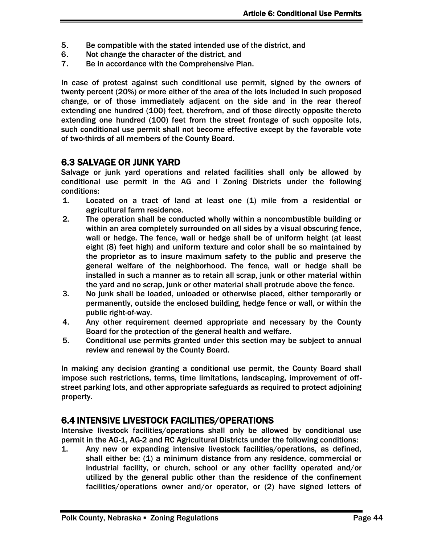- 5. Be compatible with the stated intended use of the district, and
- 6. Not change the character of the district, and
- 7. Be in accordance with the Comprehensive Plan.

In case of protest against such conditional use permit, signed by the owners of twenty percent (20%) or more either of the area of the lots included in such proposed change, or of those immediately adjacent on the side and in the rear thereof extending one hundred (100) feet, therefrom, and of those directly opposite thereto extending one hundred (100) feet from the street frontage of such opposite lots, such conditional use permit shall not become effective except by the favorable vote of two-thirds of all members of the County Board.

### <span id="page-35-0"></span>6.3 SALVAGE OR JUNK YARD

Salvage or junk yard operations and related facilities shall only be allowed by conditional use permit in the AG and I Zoning Districts under the following conditions:

- 1. Located on a tract of land at least one (1) mile from a residential or agricultural farm residence.
- 2. The operation shall be conducted wholly within a noncombustible building or within an area completely surrounded on all sides by a visual obscuring fence, wall or hedge. The fence, wall or hedge shall be of uniform height (at least eight (8) feet high) and uniform texture and color shall be so maintained by the proprietor as to insure maximum safety to the public and preserve the general welfare of the neighborhood. The fence, wall or hedge shall be installed in such a manner as to retain all scrap, junk or other material within the yard and no scrap, junk or other material shall protrude above the fence.
- 3. No junk shall be loaded, unloaded or otherwise placed, either temporarily or permanently, outside the enclosed building, hedge fence or wall, or within the public right-of-way.
- 4. Any other requirement deemed appropriate and necessary by the County Board for the protection of the general health and welfare.
- 5. Conditional use permits granted under this section may be subject to annual review and renewal by the County Board.

In making any decision granting a conditional use permit, the County Board shall impose such restrictions, terms, time limitations, landscaping, improvement of offstreet parking lots, and other appropriate safeguards as required to protect adjoining property.

### <span id="page-35-1"></span>6.4 INTENSIVE LIVESTOCK FACILITIES/OPERATIONS

Intensive livestock facilities/operations shall only be allowed by conditional use permit in the AG-1, AG-2 and RC Agricultural Districts under the following conditions:

1. Any new or expanding intensive livestock facilities/operations, as defined, shall either be: (1) a minimum distance from any residence, commercial or industrial facility, or church, school or any other facility operated and/or utilized by the general public other than the residence of the confinement facilities/operations owner and/or operator, or (2) have signed letters of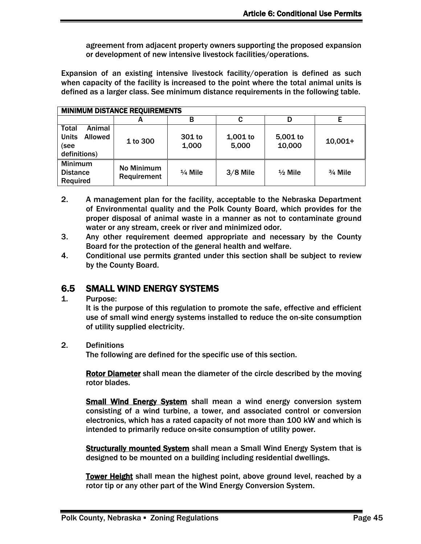agreement from adjacent property owners supporting the proposed expansion or development of new intensive livestock facilities/operations.

Expansion of an existing intensive livestock facility/operation is defined as such when capacity of the facility is increased to the point where the total animal units is defined as a larger class. See minimum distance requirements in the following table.

| <b>MINIMUM DISTANCE REQUIREMENTS</b>                                             |                           |                    |                     |                    |            |
|----------------------------------------------------------------------------------|---------------------------|--------------------|---------------------|--------------------|------------|
|                                                                                  | A                         | В                  | C                   | D                  | Е          |
| Animal<br><b>Total</b><br><b>Units</b><br><b>Allowed</b><br>(see<br>definitions) | 1 to 300                  | 301 to<br>1,000    | $1,001$ to<br>5,000 | 5,001 to<br>10,000 | $10,001+$  |
| <b>Minimum</b><br><b>Distance</b><br>Required                                    | No Minimum<br>Requirement | $\frac{1}{4}$ Mile | $3/8$ Mile          | $\frac{1}{2}$ Mile | $3/4$ Mile |

- 2. A management plan for the facility, acceptable to the Nebraska Department of Environmental quality and the Polk County Board, which provides for the proper disposal of animal waste in a manner as not to contaminate ground water or any stream, creek or river and minimized odor.
- 3. Any other requirement deemed appropriate and necessary by the County Board for the protection of the general health and welfare.
- 4. Conditional use permits granted under this section shall be subject to review by the County Board.

### <span id="page-36-0"></span>6.5 SMALL WIND ENERGY SYSTEMS

1. Purpose:

It is the purpose of this regulation to promote the safe, effective and efficient use of small wind energy systems installed to reduce the on-site consumption of utility supplied electricity.

2. Definitions

The following are defined for the specific use of this section.

Rotor Diameter shall mean the diameter of the circle described by the moving rotor blades.

Small Wind Energy System shall mean a wind energy conversion system consisting of a wind turbine, a tower, and associated control or conversion electronics, which has a rated capacity of not more than 100 kW and which is intended to primarily reduce on-site consumption of utility power.

**Structurally mounted System** shall mean a Small Wind Energy System that is designed to be mounted on a building including residential dwellings.

Tower Height shall mean the highest point, above ground level, reached by a rotor tip or any other part of the Wind Energy Conversion System.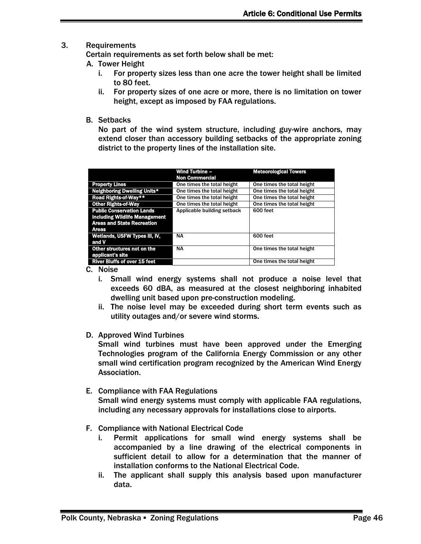#### 3. Requirements

Certain requirements as set forth below shall be met:

- A. Tower Height
	- i. For property sizes less than one acre the tower height shall be limited to 80 feet.
	- ii. For property sizes of one acre or more, there is no limitation on tower height, except as imposed by FAA regulations.
- B. Setbacks

No part of the wind system structure, including guy-wire anchors, may extend closer than accessory building setbacks of the appropriate zoning district to the property lines of the installation site.

|                                                                                                                               | <b>Wind Turbine -</b><br><b>Non Commercial</b> | <b>Meteorological Towers</b> |
|-------------------------------------------------------------------------------------------------------------------------------|------------------------------------------------|------------------------------|
| <b>Property Lines</b>                                                                                                         | One times the total height                     | One times the total height   |
| <b>Neighboring Dwelling Units*</b>                                                                                            | One times the total height                     | One times the total height   |
| Road Rights-of-Way**                                                                                                          | One times the total height                     | One times the total height   |
| <b>Other Rights-of-Way</b>                                                                                                    | One times the total height                     | One times the total height   |
| <b>Public Conservation Lands</b><br><b>including Wildlife Management</b><br><b>Areas and State Recreation</b><br><b>Areas</b> | Applicable building setback                    | 600 feet                     |
| Wetlands, USFW Types III, IV,<br>and V                                                                                        | <b>NA</b>                                      | 600 feet                     |
| Other structures not on the<br>applicant's site                                                                               | <b>NA</b>                                      | One times the total height   |
| <b>River Bluffs of over 15 feet</b>                                                                                           |                                                | One times the total height   |

C. Noise

- i. Small wind energy systems shall not produce a noise level that exceeds 60 dBA, as measured at the closest neighboring inhabited dwelling unit based upon pre-construction modeling.
- ii. The noise level may be exceeded during short term events such as utility outages and/or severe wind storms.
- D. Approved Wind Turbines

Small wind turbines must have been approved under the Emerging Technologies program of the California Energy Commission or any other small wind certification program recognized by the American Wind Energy Association.

E. Compliance with FAA Regulations

Small wind energy systems must comply with applicable FAA regulations, including any necessary approvals for installations close to airports.

- F. Compliance with National Electrical Code
	- i. Permit applications for small wind energy systems shall be accompanied by a line drawing of the electrical components in sufficient detail to allow for a determination that the manner of installation conforms to the National Electrical Code.
	- ii. The applicant shall supply this analysis based upon manufacturer data.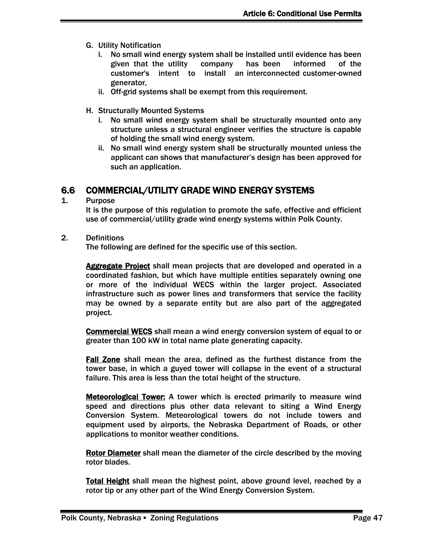- G. Utility Notification
	- i. No small wind energy system shall be installed until evidence has been given that the utility company has been informed of the customer's intent to install an interconnected customer-owned generator,
	- ii. Off-grid systems shall be exempt from this requirement.
- H. Structurally Mounted Systems
	- i. No small wind energy system shall be structurally mounted onto any structure unless a structural engineer verifies the structure is capable of holding the small wind energy system.
	- ii. No small wind energy system shall be structurally mounted unless the applicant can shows that manufacturer's design has been approved for such an application.

### <span id="page-38-0"></span>6.6 COMMERCIAL/UTILITY GRADE WIND ENERGY SYSTEMS

1. Purpose

It is the purpose of this regulation to promote the safe, effective and efficient use of commercial/utility grade wind energy systems within Polk County.

2. Definitions

The following are defined for the specific use of this section.

Aggregate Project shall mean projects that are developed and operated in a coordinated fashion, but which have multiple entities separately owning one or more of the individual WECS within the larger project. Associated infrastructure such as power lines and transformers that service the facility may be owned by a separate entity but are also part of the aggregated project.

Commercial WECS shall mean a wind energy conversion system of equal to or greater than 100 kW in total name plate generating capacity.

Fall Zone shall mean the area, defined as the furthest distance from the tower base, in which a guyed tower will collapse in the event of a structural failure. This area is less than the total height of the structure.

Meteorological Tower: A tower which is erected primarily to measure wind speed and directions plus other data relevant to siting a Wind Energy Conversion System. Meteorological towers do not include towers and equipment used by airports, the Nebraska Department of Roads, or other applications to monitor weather conditions.

Rotor Diameter shall mean the diameter of the circle described by the moving rotor blades.

Total Height shall mean the highest point, above ground level, reached by a rotor tip or any other part of the Wind Energy Conversion System.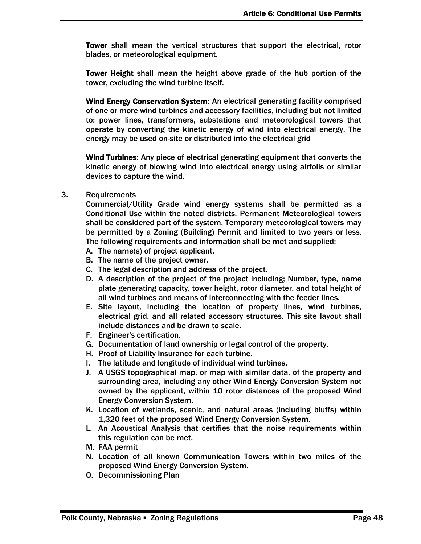Tower shall mean the vertical structures that support the electrical, rotor blades, or meteorological equipment.

Tower Height shall mean the height above grade of the hub portion of the tower, excluding the wind turbine itself.

Wind Energy Conservation System: An electrical generating facility comprised of one or more wind turbines and accessory facilities, including but not limited to: power lines, transformers, substations and meteorological towers that operate by converting the kinetic energy of wind into electrical energy. The energy may be used on-site or distributed into the electrical grid

Wind Turbines: Any piece of electrical generating equipment that converts the kinetic energy of blowing wind into electrical energy using airfoils or similar devices to capture the wind.

3. Requirements

Commercial/Utility Grade wind energy systems shall be permitted as a Conditional Use within the noted districts. Permanent Meteorological towers shall be considered part of the system. Temporary meteorological towers may be permitted by a Zoning (Building) Permit and limited to two years or less. The following requirements and information shall be met and supplied:

- A. The name(s) of project applicant.
- B. The name of the project owner.
- C. The legal description and address of the project.
- D. A description of the project of the project including; Number, type, name plate generating capacity, tower height, rotor diameter, and total height of all wind turbines and means of interconnecting with the feeder lines.
- E. Site layout, including the location of property lines, wind turbines, electrical grid, and all related accessory structures. This site layout shall include distances and be drawn to scale.
- F. Engineer's certification.
- G. Documentation of land ownership or legal control of the property.
- H. Proof of Liability Insurance for each turbine.
- I. The latitude and longitude of individual wind turbines.
- J. A USGS topographical map, or map with similar data, of the property and surrounding area, including any other Wind Energy Conversion System not owned by the applicant, within 10 rotor distances of the proposed Wind Energy Conversion System.
- K. Location of wetlands, scenic, and natural areas (including bluffs) within 1,320 feet of the proposed Wind Energy Conversion System.
- L. An Acoustical Analysis that certifies that the noise requirements within this regulation can be met.
- M. FAA permit
- N. Location of all known Communication Towers within two miles of the proposed Wind Energy Conversion System.
- O. Decommissioning Plan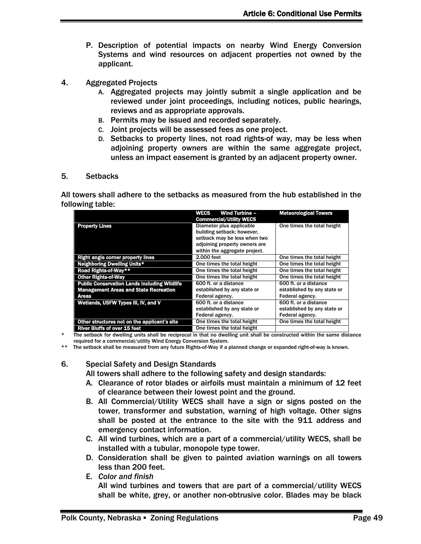- P. Description of potential impacts on nearby Wind Energy Conversion Systems and wind resources on adjacent properties not owned by the applicant.
- 4. Aggregated Projects
	- A. Aggregated projects may jointly submit a single application and be reviewed under joint proceedings, including notices, public hearings, reviews and as appropriate approvals.
	- B. Permits may be issued and recorded separately.
	- C. Joint projects will be assessed fees as one project.
	- D. Setbacks to property lines, not road rights-of way, may be less when adjoining property owners are within the same aggregate project, unless an impact easement is granted by an adjacent property owner.
- 5. Setbacks

All towers shall adhere to the setbacks as measured from the hub established in the following table:

|                                                     | WECS<br><b>Wind Turbine -</b><br><b>Commercial/Utility WECS</b> | <b>Meteorological Towers</b> |
|-----------------------------------------------------|-----------------------------------------------------------------|------------------------------|
| <b>Property Lines</b>                               | Diameter plus applicable<br>building setback; however,          | One times the total height   |
|                                                     | setback may be less when two                                    |                              |
|                                                     | adjoining property owners are<br>within the aggregate project.  |                              |
| <b>Right angle corner property lines</b>            | 2.000 feet                                                      | One times the total height   |
| <b>Neighboring Dwelling Units*</b>                  | One times the total height                                      | One times the total height   |
| Road Rights-of-Way**                                | One times the total height                                      | One times the total height   |
| <b>Other Rights-of-Way</b>                          | One times the total height                                      | One times the total height   |
| <b>Public Conservation Lands including Wildlife</b> | 600 ft. or a distance                                           | 600 ft. or a distance        |
| <b>Management Areas and State Recreation</b>        | established by any state or                                     | established by any state or  |
| Areas                                               | Federal agency.                                                 | Federal agency.              |
| Wetlands, USFW Types III, IV, and V                 | 600 ft. or a distance                                           | 600 ft. or a distance        |
|                                                     | established by any state or                                     | established by any state or  |
|                                                     | Federal agency.                                                 | Federal agency.              |
| Other structures not on the applicant's site        | One times the total height                                      | One times the total height   |
| <b>River Bluffs of over 15 feet</b>                 | One times the total height                                      |                              |

The setback for dwelling units shall be reciprocal in that no dwelling unit shall be constructed within the same distance required for a commercial/utility Wind Energy Conversion System.

\*\* The setback shall be measured from any future Rights-of-Way if a planned change or expanded right-of-way is known.

6. Special Safety and Design Standards

All towers shall adhere to the following safety and design standards:

- A. Clearance of rotor blades or airfoils must maintain a minimum of 12 feet of clearance between their lowest point and the ground.
- B. All Commercial/Utility WECS shall have a sign or signs posted on the tower, transformer and substation, warning of high voltage. Other signs shall be posted at the entrance to the site with the 911 address and emergency contact information.
- C. All wind turbines, which are a part of a commercial/utility WECS, shall be installed with a tubular, monopole type tower.
- D. Consideration shall be given to painted aviation warnings on all towers less than 200 feet.
- E. *Color and finish*

All wind turbines and towers that are part of a commercial/utility WECS shall be white, grey, or another non-obtrusive color. Blades may be black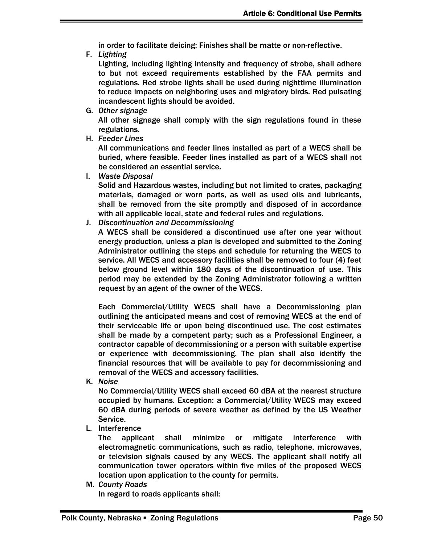in order to facilitate deicing; Finishes shall be matte or non-reflective.

F. *Lighting*

Lighting, including lighting intensity and frequency of strobe, shall adhere to but not exceed requirements established by the FAA permits and regulations. Red strobe lights shall be used during nighttime illumination to reduce impacts on neighboring uses and migratory birds. Red pulsating incandescent lights should be avoided.

- G. *Other signage* All other signage shall comply with the sign regulations found in these regulations.
- H. *Feeder Lines*

All communications and feeder lines installed as part of a WECS shall be buried, where feasible. Feeder lines installed as part of a WECS shall not be considered an essential service.

I. *Waste Disposal*

Solid and Hazardous wastes, including but not limited to crates, packaging materials, damaged or worn parts, as well as used oils and lubricants, shall be removed from the site promptly and disposed of in accordance with all applicable local, state and federal rules and regulations.

J. *Discontinuation and Decommissioning*

A WECS shall be considered a discontinued use after one year without energy production, unless a plan is developed and submitted to the Zoning Administrator outlining the steps and schedule for returning the WECS to service. All WECS and accessory facilities shall be removed to four (4) feet below ground level within 180 days of the discontinuation of use. This period may be extended by the Zoning Administrator following a written request by an agent of the owner of the WECS.

Each Commercial/Utility WECS shall have a Decommissioning plan outlining the anticipated means and cost of removing WECS at the end of their serviceable life or upon being discontinued use. The cost estimates shall be made by a competent party; such as a Professional Engineer, a contractor capable of decommissioning or a person with suitable expertise or experience with decommissioning. The plan shall also identify the financial resources that will be available to pay for decommissioning and removal of the WECS and accessory facilities.

K. *Noise*

No Commercial/Utility WECS shall exceed 60 dBA at the nearest structure occupied by humans. Exception: a Commercial/Utility WECS may exceed 60 dBA during periods of severe weather as defined by the US Weather Service.

L. Interference

The applicant shall minimize or mitigate interference with electromagnetic communications, such as radio, telephone, microwaves, or television signals caused by any WECS. The applicant shall notify all communication tower operators within five miles of the proposed WECS location upon application to the county for permits.

M. *County Roads*

In regard to roads applicants shall: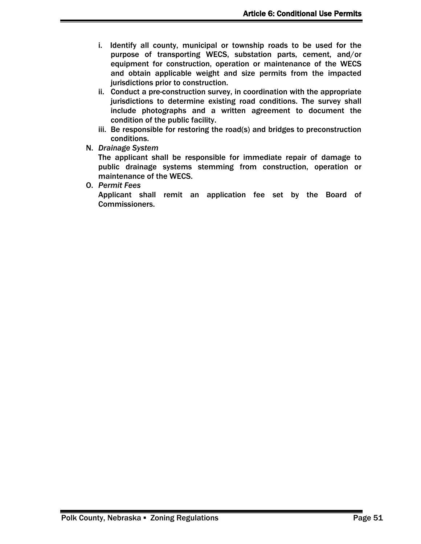- i. Identify all county, municipal or township roads to be used for the purpose of transporting WECS, substation parts, cement, and/or equipment for construction, operation or maintenance of the WECS and obtain applicable weight and size permits from the impacted jurisdictions prior to construction.
- ii. Conduct a pre-construction survey, in coordination with the appropriate jurisdictions to determine existing road conditions. The survey shall include photographs and a written agreement to document the condition of the public facility.
- iii. Be responsible for restoring the road(s) and bridges to preconstruction conditions.
- N. *Drainage System*

The applicant shall be responsible for immediate repair of damage to public drainage systems stemming from construction, operation or maintenance of the WECS.

O. *Permit Fees*

Applicant shall remit an application fee set by the Board of Commissioners.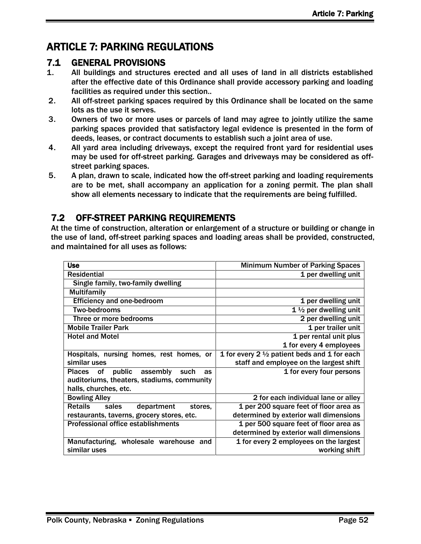# <span id="page-43-0"></span>ARTICLE 7: PARKING REGULATIONS

### <span id="page-43-1"></span>7.1 GENERAL PROVISIONS

- 1. All buildings and structures erected and all uses of land in all districts established after the effective date of this Ordinance shall provide accessory parking and loading facilities as required under this section..
- 2. All off-street parking spaces required by this Ordinance shall be located on the same lots as the use it serves.
- 3. Owners of two or more uses or parcels of land may agree to jointly utilize the same parking spaces provided that satisfactory legal evidence is presented in the form of deeds, leases, or contract documents to establish such a joint area of use.
- 4. All yard area including driveways, except the required front yard for residential uses may be used for off-street parking. Garages and driveways may be considered as offstreet parking spaces.
- 5. A plan, drawn to scale, indicated how the off-street parking and loading requirements are to be met, shall accompany an application for a zoning permit. The plan shall show all elements necessary to indicate that the requirements are being fulfilled.

# <span id="page-43-2"></span>7.2 OFF-STREET PARKING REQUIREMENTS

At the time of construction, alteration or enlargement of a structure or building or change in the use of land, off-street parking spaces and loading areas shall be provided, constructed, and maintained for all uses as follows:

| <b>Use</b>                                       | <b>Minimum Number of Parking Spaces</b>                 |
|--------------------------------------------------|---------------------------------------------------------|
| <b>Residential</b>                               | 1 per dwelling unit                                     |
| Single family, two-family dwelling               |                                                         |
| <b>Multifamily</b>                               |                                                         |
| <b>Efficiency and one-bedroom</b>                | 1 per dwelling unit                                     |
| <b>Two-bedrooms</b>                              | 1 $\frac{1}{2}$ per dwelling unit                       |
| Three or more bedrooms                           | 2 per dwelling unit                                     |
| <b>Mobile Trailer Park</b>                       | 1 per trailer unit                                      |
| <b>Hotel and Motel</b>                           | 1 per rental unit plus                                  |
|                                                  | 1 for every 4 employees                                 |
| Hospitals, nursing homes, rest homes, or         | 1 for every 2 $\frac{1}{2}$ patient beds and 1 for each |
| similar uses                                     | staff and employee on the largest shift                 |
| public<br>assembly<br>Places of<br>such<br>as    | 1 for every four persons                                |
| auditoriums, theaters, stadiums, community       |                                                         |
| halls, churches, etc.                            |                                                         |
| <b>Bowling Alley</b>                             | 2 for each individual lane or alley                     |
| <b>Retails</b><br>sales<br>department<br>stores. | 1 per 200 square feet of floor area as                  |
| restaurants, taverns, grocery stores, etc.       | determined by exterior wall dimensions                  |
| <b>Professional office establishments</b>        | 1 per 500 square feet of floor area as                  |
|                                                  | determined by exterior wall dimensions                  |
| Manufacturing, wholesale warehouse and           | 1 for every 2 employees on the largest                  |
| similar uses                                     | working shift                                           |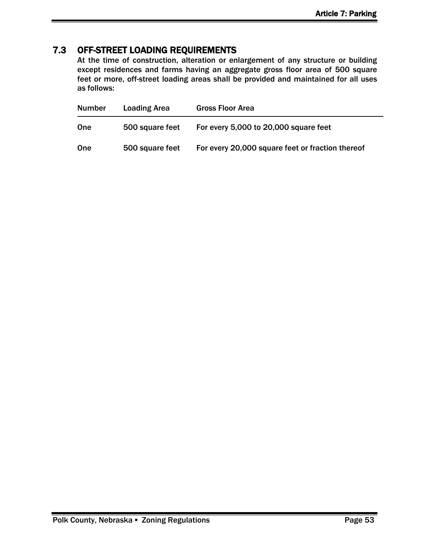## <span id="page-44-0"></span>7.3 OFF-STREET LOADING REQUIREMENTS

At the time of construction, alteration or enlargement of any structure or building except residences and farms having an aggregate gross floor area of 500 square feet or more, off-street loading areas shall be provided and maintained for all uses as follows:

| <b>Number</b> | <b>Loading Area</b> | <b>Gross Floor Area</b>                          |
|---------------|---------------------|--------------------------------------------------|
| One           | 500 square feet     | For every 5,000 to 20,000 square feet            |
| <b>One</b>    | 500 square feet     | For every 20,000 square feet or fraction thereof |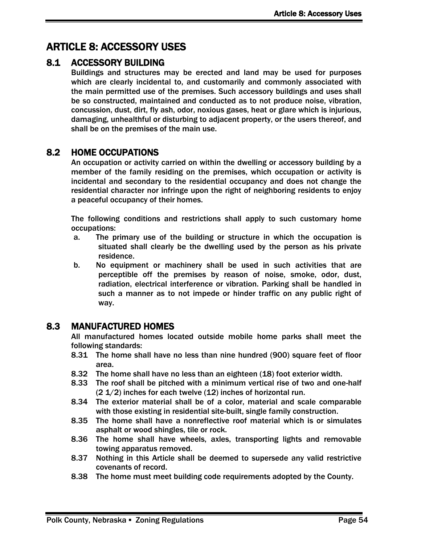# <span id="page-45-0"></span>ARTICLE 8: ACCESSORY USES

### <span id="page-45-1"></span>8.1 ACCESSORY BUILDING

Buildings and structures may be erected and land may be used for purposes which are clearly incidental to, and customarily and commonly associated with the main permitted use of the premises. Such accessory buildings and uses shall be so constructed, maintained and conducted as to not produce noise, vibration, concussion, dust, dirt, fly ash, odor, noxious gases, heat or glare which is injurious, damaging, unhealthful or disturbing to adjacent property, or the users thereof, and shall be on the premises of the main use.

### <span id="page-45-2"></span>8.2 HOME OCCUPATIONS

An occupation or activity carried on within the dwelling or accessory building by a member of the family residing on the premises, which occupation or activity is incidental and secondary to the residential occupancy and does not change the residential character nor infringe upon the right of neighboring residents to enjoy a peaceful occupancy of their homes.

The following conditions and restrictions shall apply to such customary home occupations:

- a. The primary use of the building or structure in which the occupation is situated shall clearly be the dwelling used by the person as his private residence.
- b. No equipment or machinery shall be used in such activities that are perceptible off the premises by reason of noise, smoke, odor, dust, radiation, electrical interference or vibration. Parking shall be handled in such a manner as to not impede or hinder traffic on any public right of way.

# <span id="page-45-3"></span>8.3 MANUFACTURED HOMES

All manufactured homes located outside mobile home parks shall meet the following standards:

- 8.31 The home shall have no less than nine hundred (900) square feet of floor area.
- 8.32 The home shall have no less than an eighteen (18) foot exterior width.
- 8.33 The roof shall be pitched with a minimum vertical rise of two and one-half (2 1/2) inches for each twelve (12) inches of horizontal run.
- 8.34 The exterior material shall be of a color, material and scale comparable with those existing in residential site-built, single family construction.
- 8.35 The home shall have a nonreflective roof material which is or simulates asphalt or wood shingles, tile or rock.
- 8.36 The home shall have wheels, axles, transporting lights and removable towing apparatus removed.
- 8.37 Nothing in this Article shall be deemed to supersede any valid restrictive covenants of record.
- 8.38 The home must meet building code requirements adopted by the County.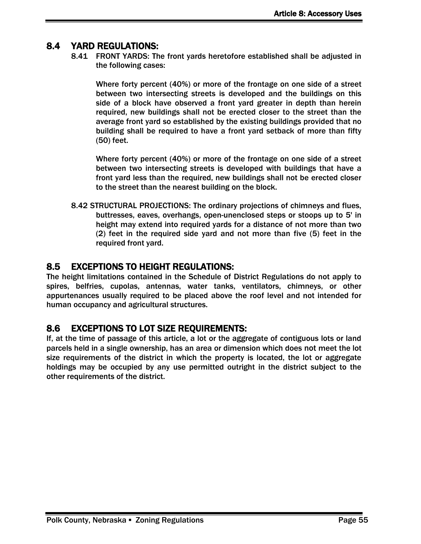### <span id="page-46-0"></span>8.4 YARD REGULATIONS:

8.41 FRONT YARDS: The front yards heretofore established shall be adjusted in the following cases:

Where forty percent (40%) or more of the frontage on one side of a street between two intersecting streets is developed and the buildings on this side of a block have observed a front yard greater in depth than herein required, new buildings shall not be erected closer to the street than the average front yard so established by the existing buildings provided that no building shall be required to have a front yard setback of more than fifty (50) feet.

Where forty percent (40%) or more of the frontage on one side of a street between two intersecting streets is developed with buildings that have a front yard less than the required, new buildings shall not be erected closer to the street than the nearest building on the block.

8.42 STRUCTURAL PROJECTIONS: The ordinary projections of chimneys and flues, buttresses, eaves, overhangs, open-unenclosed steps or stoops up to 5' in height may extend into required yards for a distance of not more than two (2) feet in the required side yard and not more than five (5) feet in the required front yard.

#### <span id="page-46-1"></span>8.5 EXCEPTIONS TO HEIGHT REGULATIONS:

The height limitations contained in the Schedule of District Regulations do not apply to spires, belfries, cupolas, antennas, water tanks, ventilators, chimneys, or other appurtenances usually required to be placed above the roof level and not intended for human occupancy and agricultural structures.

### <span id="page-46-2"></span>8.6 EXCEPTIONS TO LOT SIZE REQUIREMENTS:

If, at the time of passage of this article, a lot or the aggregate of contiguous lots or land parcels held in a single ownership, has an area or dimension which does not meet the lot size requirements of the district in which the property is located, the lot or aggregate holdings may be occupied by any use permitted outright in the district subject to the other requirements of the district.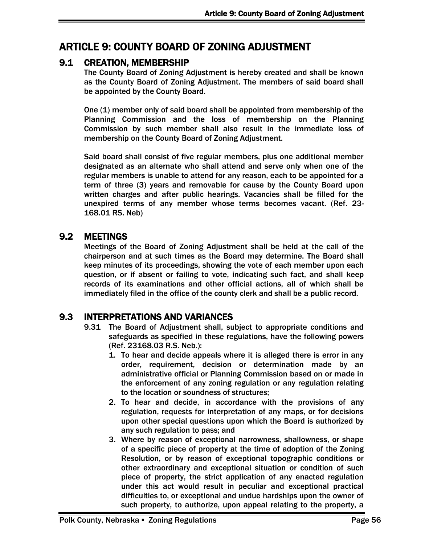# <span id="page-47-0"></span>ARTICLE 9: COUNTY BOARD OF ZONING ADJUSTMENT

### <span id="page-47-1"></span>9.1 CREATION, MEMBERSHIP

The County Board of Zoning Adjustment is hereby created and shall be known as the County Board of Zoning Adjustment. The members of said board shall be appointed by the County Board.

One (1) member only of said board shall be appointed from membership of the Planning Commission and the loss of membership on the Planning Commission by such member shall also result in the immediate loss of membership on the County Board of Zoning Adjustment.

Said board shall consist of five regular members, plus one additional member designated as an alternate who shall attend and serve only when one of the regular members is unable to attend for any reason, each to be appointed for a term of three (3) years and removable for cause by the County Board upon written charges and after public hearings. Vacancies shall be filled for the unexpired terms of any member whose terms becomes vacant. (Ref. 23- 168.01 RS. Neb)

### <span id="page-47-2"></span>9.2 MEETINGS

Meetings of the Board of Zoning Adjustment shall be held at the call of the chairperson and at such times as the Board may determine. The Board shall keep minutes of its proceedings, showing the vote of each member upon each question, or if absent or failing to vote, indicating such fact, and shall keep records of its examinations and other official actions, all of which shall be immediately filed in the office of the county clerk and shall be a public record.

### <span id="page-47-3"></span>9.3 INTERPRETATIONS AND VARIANCES

- 9.31 The Board of Adjustment shall, subject to appropriate conditions and safeguards as specified in these regulations, have the following powers (Ref. 23168.03 R.S. Neb.):
	- 1. To hear and decide appeals where it is alleged there is error in any order, requirement, decision or determination made by an administrative official or Planning Commission based on or made in the enforcement of any zoning regulation or any regulation relating to the location or soundness of structures;
	- 2. To hear and decide, in accordance with the provisions of any regulation, requests for interpretation of any maps, or for decisions upon other special questions upon which the Board is authorized by any such regulation to pass; and
	- 3. Where by reason of exceptional narrowness, shallowness, or shape of a specific piece of property at the time of adoption of the Zoning Resolution, or by reason of exceptional topographic conditions or other extraordinary and exceptional situation or condition of such piece of property, the strict application of any enacted regulation under this act would result in peculiar and exceptional practical difficulties to, or exceptional and undue hardships upon the owner of such property, to authorize, upon appeal relating to the property, a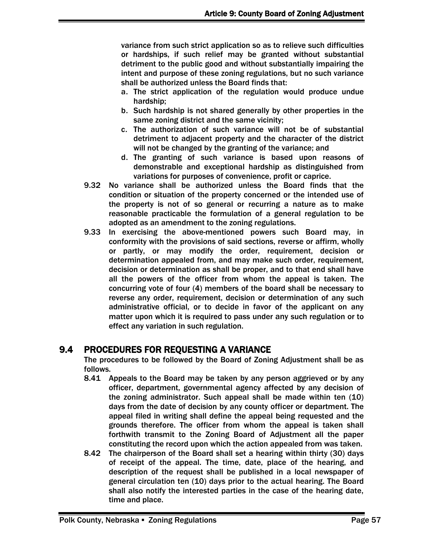variance from such strict application so as to relieve such difficulties or hardships, if such relief may be granted without substantial detriment to the public good and without substantially impairing the intent and purpose of these zoning regulations, but no such variance shall be authorized unless the Board finds that:

- a. The strict application of the regulation would produce undue hardship;
- b. Such hardship is not shared generally by other properties in the same zoning district and the same vicinity;
- c. The authorization of such variance will not be of substantial detriment to adjacent property and the character of the district will not be changed by the granting of the variance; and
- d. The granting of such variance is based upon reasons of demonstrable and exceptional hardship as distinguished from variations for purposes of convenience, profit or caprice.
- 9.32 No variance shall be authorized unless the Board finds that the condition or situation of the property concerned or the intended use of the property is not of so general or recurring a nature as to make reasonable practicable the formulation of a general regulation to be adopted as an amendment to the zoning regulations.
- 9.33 In exercising the above-mentioned powers such Board may, in conformity with the provisions of said sections, reverse or affirm, wholly or partly, or may modify the order, requirement, decision or determination appealed from, and may make such order, requirement, decision or determination as shall be proper, and to that end shall have all the powers of the officer from whom the appeal is taken. The concurring vote of four (4) members of the board shall be necessary to reverse any order, requirement, decision or determination of any such administrative official, or to decide in favor of the applicant on any matter upon which it is required to pass under any such regulation or to effect any variation in such regulation.

### <span id="page-48-0"></span>9.4 PROCEDURES FOR REQUESTING A VARIANCE

The procedures to be followed by the Board of Zoning Adjustment shall be as follows.

- 8.41 Appeals to the Board may be taken by any person aggrieved or by any officer, department, governmental agency affected by any decision of the zoning administrator. Such appeal shall be made within ten (10) days from the date of decision by any county officer or department. The appeal filed in writing shall define the appeal being requested and the grounds therefore. The officer from whom the appeal is taken shall forthwith transmit to the Zoning Board of Adjustment all the paper constituting the record upon which the action appealed from was taken.
- 8.42 The chairperson of the Board shall set a hearing within thirty (30) days of receipt of the appeal. The time, date, place of the hearing, and description of the request shall be published in a local newspaper of general circulation ten (10) days prior to the actual hearing. The Board shall also notify the interested parties in the case of the hearing date, time and place.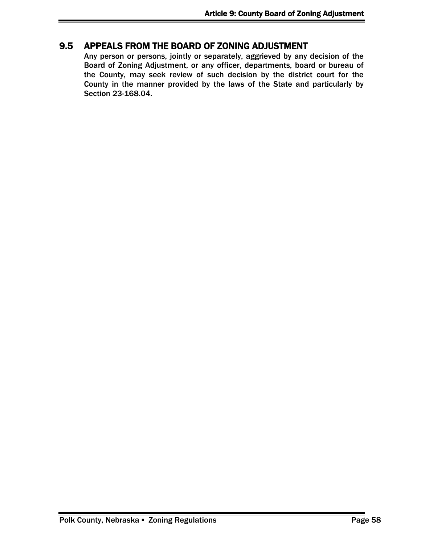### <span id="page-49-0"></span>9.5 APPEALS FROM THE BOARD OF ZONING ADJUSTMENT

Any person or persons, jointly or separately, aggrieved by any decision of the Board of Zoning Adjustment, or any officer, departments, board or bureau of the County, may seek review of such decision by the district court for the County in the manner provided by the laws of the State and particularly by Section 23-168.04.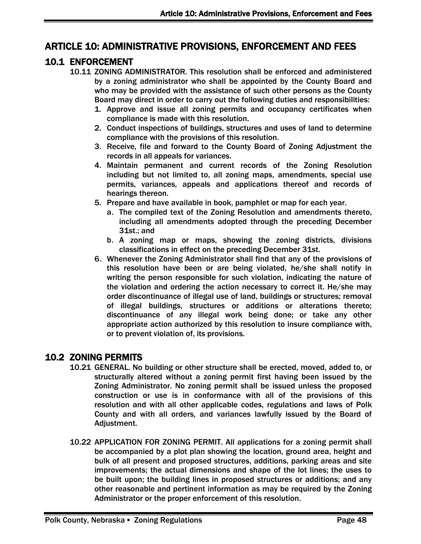### <span id="page-51-0"></span>ARTICLE 10: ADMINISTRATIVE PROVISIONS, ENFORCEMENT AND FEES

### <span id="page-51-1"></span>10.1 ENFORCEMENT

- 10.11 ZONING ADMINISTRATOR. This resolution shall be enforced and administered by a zoning administrator who shall be appointed by the County Board and who may be provided with the assistance of such other persons as the County Board may direct in order to carry out the following duties and responsibilities:
	- 1. Approve and issue all zoning permits and occupancy certificates when compliance is made with this resolution.
	- 2. Conduct inspections of buildings, structures and uses of land to determine compliance with the provisions of this resolution.
	- 3. Receive, file and forward to the County Board of Zoning Adjustment the records in all appeals for variances.
	- 4. Maintain permanent and current records of the Zoning Resolution including but not limited to, all zoning maps, amendments, special use permits, variances, appeals and applications thereof and records of hearings thereon.
	- 5. Prepare and have available in book, pamphlet or map for each year.
		- a. The compiled text of the Zoning Resolution and amendments thereto, including all amendments adopted through the preceding December 31st.; and
		- b. A zoning map or maps, showing the zoning districts, divisions classifications in effect on the preceding December 31st.
	- 6. Whenever the Zoning Administrator shall find that any of the provisions of this resolution have been or are being violated, he/she shall notify in writing the person responsible for such violation, indicating the nature of the violation and ordering the action necessary to correct it. He/she may order discontinuance of illegal use of land, buildings or structures; removal of illegal buildings, structures or additions or alterations thereto; discontinuance of any illegal work being done; or take any other appropriate action authorized by this resolution to insure compliance with, or to prevent violation of, its provisions.

### <span id="page-51-2"></span>10.2 ZONING PERMITS

- 10.21 GENERAL. No building or other structure shall be erected, moved, added to, or structurally altered without a zoning permit first having been issued by the Zoning Administrator. No zoning permit shall be issued unless the proposed construction or use is in conformance with all of the provisions of this resolution and with all other applicable codes, regulations and laws of Polk County and with all orders, and variances lawfully issued by the Board of Adjustment.
- 10.22 APPLICATION FOR ZONING PERMIT. All applications for a zoning permit shall be accompanied by a plot plan showing the location, ground area, height and bulk of all present and proposed structures, additions, parking areas and site improvements; the actual dimensions and shape of the lot lines; the uses to be built upon; the building lines in proposed structures or additions; and any other reasonable and pertinent information as may be required by the Zoning Administrator or the proper enforcement of this resolution.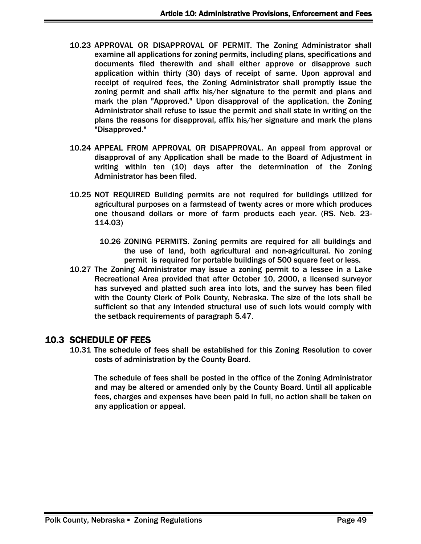- 10.23 APPROVAL OR DISAPPROVAL OF PERMIT. The Zoning Administrator shall examine all applications for zoning permits, including plans, specifications and documents filed therewith and shall either approve or disapprove such application within thirty (30) days of receipt of same. Upon approval and receipt of required fees, the Zoning Administrator shall promptly issue the zoning permit and shall affix his/her signature to the permit and plans and mark the plan "Approved." Upon disapproval of the application, the Zoning Administrator shall refuse to issue the permit and shall state in writing on the plans the reasons for disapproval, affix his/her signature and mark the plans "Disapproved."
- 10.24 APPEAL FROM APPROVAL OR DISAPPROVAL. An appeal from approval or disapproval of any Application shall be made to the Board of Adjustment in writing within ten (10) days after the determination of the Zoning Administrator has been filed.
- 10.25 NOT REQUIRED Building permits are not required for buildings utilized for agricultural purposes on a farmstead of twenty acres or more which produces one thousand dollars or more of farm products each year. (RS. Neb. 23- 114.03)
	- 10.26 ZONING PERMITS. Zoning permits are required for all buildings and the use of land, both agricultural and non-agricultural. No zoning permit is required for portable buildings of 500 square feet or less.
- 10.27 The Zoning Administrator may issue a zoning permit to a lessee in a Lake Recreational Area provided that after October 10, 2000, a licensed surveyor has surveyed and platted such area into lots, and the survey has been filed with the County Clerk of Polk County, Nebraska. The size of the lots shall be sufficient so that any intended structural use of such lots would comply with the setback requirements of paragraph 5.47.

### <span id="page-52-0"></span>10.3 SCHEDULE OF FEES

10.31 The schedule of fees shall be established for this Zoning Resolution to cover costs of administration by the County Board.

The schedule of fees shall be posted in the office of the Zoning Administrator and may be altered or amended only by the County Board. Until all applicable fees, charges and expenses have been paid in full, no action shall be taken on any application or appeal.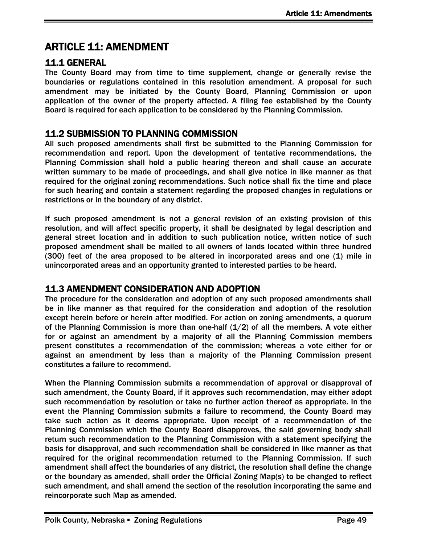# <span id="page-53-0"></span>ARTICLE 11: AMENDMENT

#### <span id="page-53-1"></span>11.1 GENERAL

The County Board may from time to time supplement, change or generally revise the boundaries or regulations contained in this resolution amendment. A proposal for such amendment may be initiated by the County Board, Planning Commission or upon application of the owner of the property affected. A filing fee established by the County Board is required for each application to be considered by the Planning Commission.

#### <span id="page-53-2"></span>11.2 SUBMISSION TO PLANNING COMMISSION

All such proposed amendments shall first be submitted to the Planning Commission for recommendation and report. Upon the development of tentative recommendations, the Planning Commission shall hold a public hearing thereon and shall cause an accurate written summary to be made of proceedings, and shall give notice in like manner as that required for the original zoning recommendations. Such notice shall fix the time and place for such hearing and contain a statement regarding the proposed changes in regulations or restrictions or in the boundary of any district.

If such proposed amendment is not a general revision of an existing provision of this resolution, and will affect specific property, it shall be designated by legal description and general street location and in addition to such publication notice, written notice of such proposed amendment shall be mailed to all owners of lands located within three hundred (300) feet of the area proposed to be altered in incorporated areas and one (1) mile in unincorporated areas and an opportunity granted to interested parties to be heard.

### <span id="page-53-3"></span>11.3 AMENDMENT CONSIDERATION AND ADOPTION

The procedure for the consideration and adoption of any such proposed amendments shall be in like manner as that required for the consideration and adoption of the resolution except herein before or herein after modified. For action on zoning amendments, a quorum of the Planning Commission is more than one-half  $(1/2)$  of all the members. A vote either for or against an amendment by a majority of all the Planning Commission members present constitutes a recommendation of the commission; whereas a vote either for or against an amendment by less than a majority of the Planning Commission present constitutes a failure to recommend.

When the Planning Commission submits a recommendation of approval or disapproval of such amendment, the County Board, if it approves such recommendation, may either adopt such recommendation by resolution or take no further action thereof as appropriate. In the event the Planning Commission submits a failure to recommend, the County Board may take such action as it deems appropriate. Upon receipt of a recommendation of the Planning Commission which the County Board disapproves, the said governing body shall return such recommendation to the Planning Commission with a statement specifying the basis for disapproval, and such recommendation shall be considered in like manner as that required for the original recommendation returned to the Planning Commission. If such amendment shall affect the boundaries of any district, the resolution shall define the change or the boundary as amended, shall order the Official Zoning Map(s) to be changed to reflect such amendment, and shall amend the section of the resolution incorporating the same and reincorporate such Map as amended.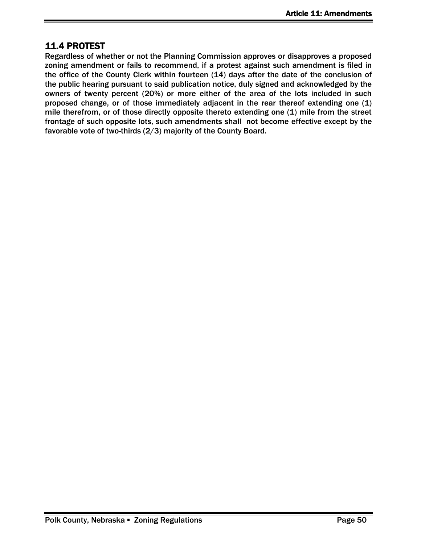# <span id="page-54-0"></span>11.4 PROTEST

Regardless of whether or not the Planning Commission approves or disapproves a proposed zoning amendment or fails to recommend, if a protest against such amendment is filed in the office of the County Clerk within fourteen (14) days after the date of the conclusion of the public hearing pursuant to said publication notice, duly signed and acknowledged by the owners of twenty percent (20%) or more either of the area of the lots included in such proposed change, or of those immediately adjacent in the rear thereof extending one (1) mile therefrom, or of those directly opposite thereto extending one (1) mile from the street frontage of such opposite lots, such amendments shall not become effective except by the favorable vote of two-thirds (2/3) majority of the County Board.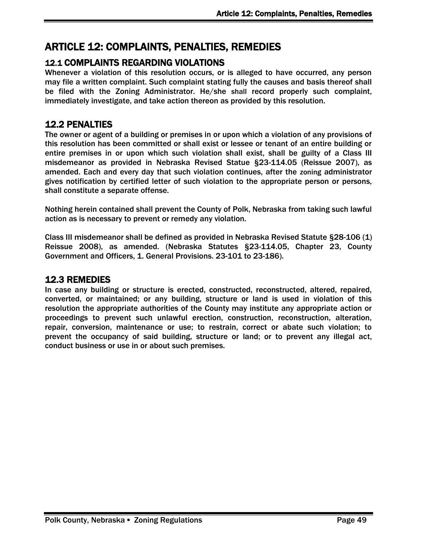# <span id="page-55-0"></span>ARTICLE 12: COMPLAINTS, PENALTIES, REMEDIES

### <span id="page-55-1"></span>12.1 COMPLAINTS REGARDING VIOLATIONS

Whenever a violation of this resolution occurs, or is alleged to have occurred, any person may file a written complaint. Such complaint stating fully the causes and basis thereof shall be filed with the Zoning Administrator. He/she shall record properly such complaint, immediately investigate, and take action thereon as provided by this resolution.

### <span id="page-55-2"></span>12.2 PENALTIES

The owner or agent of a building or premises in or upon which a violation of any provisions of this resolution has been committed or shall exist or lessee or tenant of an entire building or entire premises in or upon which such violation shall exist, shall be guilty of a Class III misdemeanor as provided in Nebraska Revised Statue §23-114.05 (Reissue 2007), as amended. Each and every day that such violation continues, after the zoning administrator gives notification by certified letter of such violation to the appropriate person or persons, shall constitute a separate offense.

Nothing herein contained shall prevent the County of Polk, Nebraska from taking such lawful action as is necessary to prevent or remedy any violation.

Class III misdemeanor shall be defined as provided in Nebraska Revised Statute §28-106 (1) Reissue 2008), as amended. (Nebraska Statutes §23-114.05, Chapter 23, County Government and Officers, 1. General Provisions. 23-101 to 23-186).

### <span id="page-55-3"></span>12.3 REMEDIES

In case any building or structure is erected, constructed, reconstructed, altered, repaired, converted, or maintained; or any building, structure or land is used in violation of this resolution the appropriate authorities of the County may institute any appropriate action or proceedings to prevent such unlawful erection, construction, reconstruction, alteration, repair, conversion, maintenance or use; to restrain, correct or abate such violation; to prevent the occupancy of said building, structure or land; or to prevent any illegal act, conduct business or use in or about such premises.